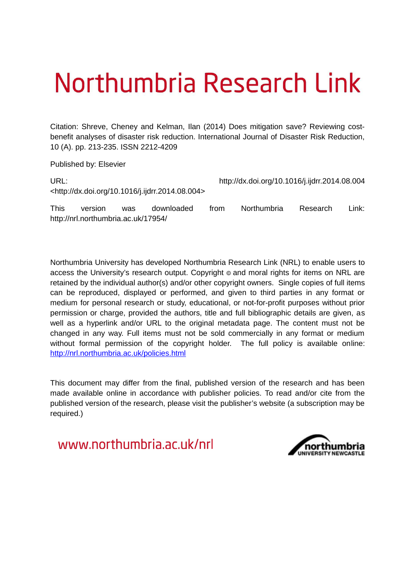# <span id="page-0-0"></span>Northumbria Research Link

Citation: Shreve, Cheney and Kelman, Ilan (2014) Does mitigation save? Reviewing costbenefit analyses of disaster risk reduction. International Journal of Disaster Risk Reduction, 10 (A). pp. 213-235. ISSN 2212-4209

Published by: Elsevier

| URL:        |                                     |            |                                                                 |      | http://dx.doi.org/10.1016/j.ijdrr.2014.08.004 |          |       |
|-------------|-------------------------------------|------------|-----------------------------------------------------------------|------|-----------------------------------------------|----------|-------|
|             |                                     |            | <http: 10.1016="" dx.doi.org="" j.ijdrr.2014.08.004=""></http:> |      |                                               |          |       |
| <b>This</b> | version                             | <b>was</b> | downloaded                                                      | trom | Northumbria                                   | Research | Link: |
|             | http://nrl.northumbria.ac.uk/17954/ |            |                                                                 |      |                                               |          |       |

Northumbria University has developed Northumbria Research Link (NRL) to enable users to access the University's research output. Copyright  $\circ$  and moral rights for items on NRL are retained by the individual author(s) and/or other copyright owners. Single copies of full items can be reproduced, displayed or performed, and given to third parties in any format or medium for personal research or study, educational, or not-for-profit purposes without prior permission or charge, provided the authors, title and full bibliographic details are given, as well as a hyperlink and/or URL to the original metadata page. The content must not be changed in any way. Full items must not be sold commercially in any format or medium without formal permission of the copyright holder. The full policy is available online: <http://nrl.northumbria.ac.uk/policies.html>

This document may differ from the final, published version of the research and has been made available online in accordance with publisher policies. To read and/or cite from the published version of the research, please visit the publisher's website (a subscription may be required.)

www.northumbria.ac.uk/nrl

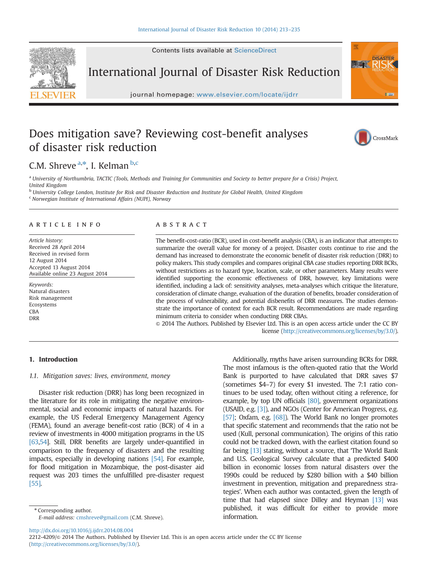Contents lists available at [ScienceDirect](www.sciencedirect.com/science/journal/22124209)



International Journal of Disaster Risk Reduction

journal homepage: <www.elsevier.com/locate/ijdrr>



# Does mitigation save? Reviewing cost-benefit analyses of disaster risk reduction



C.M. Shreve <sup>[a](#page-0-0),\*</sup>, I. Kelma[n](#page-0-0) <sup>[b,c](#page-0-0)</sup>

<sup>a</sup> *University of Northumbria, TACTIC (Tools, Methods and Training for Communities and Society to better prepare for a Crisis) Project, United Kingdom*

<sup>b</sup> *University College London, Institute for Risk and Disaster Reduction and Institute for Global Health, United Kingdom* <sup>c</sup> *Norwegian Institute of International Affairs (NUPI), Norway*

#### article info

*Article history:* Received 28 April 2014 Received in revised form 12 August 2014 Accepted 13 August 2014 Available online 23 August 2014

*Keywords:* Natural disasters Risk management Ecosystems **CBA** DRR

# ABSTRACT

The benefit-cost-ratio (BCR), used in cost-benefit analysis (CBA), is an indicator that attempts to summarize the overall value for money of a project. Disaster costs continue to rise and the demand has increased to demonstrate the economic benefit of disaster risk reduction (DRR) to policy makers. This study compiles and compares original CBA case studies reporting DRR BCRs, without restrictions as to hazard type, location, scale, or other parameters. Many results were identified supporting the economic effectiveness of DRR, however, key limitations were identified, including a lack of: sensitivity analyses, meta-analyses which critique the literature, consideration of climate change, evaluation of the duration of benefits, broader consideration of the process of vulnerability, and potential disbenefits of DRR measures. The studies demonstrate the importance of context for each BCR result. Recommendations are made regarding minimum criteria to consider when conducting DRR CBAs.

 $\circ$  2014 The Authors. Published by Elsevier Ltd. This is an open access article under the CC BY license (http://creativecommons.org/licenses/by/3.0/).

#### 1. Introduction

#### *1.1. Mitigation saves: lives, environment, money*

Disaster risk reduction (DRR) has long been recognized in the literature for its role in mitigating the negative environmental, social and economic impacts of natural hazards. For example, the US Federal Emergency Management Agency (FEMA), found an average benefit-cost ratio (BCR) of 4 in a review of investments in 4000 mitigation programs in the US [\[63,54](#page-21-0)]. Still, DRR benefits are largely under-quantified in comparison to the frequency of disasters and the resulting impacts, especially in developing nations [\[54\].](#page-21-0) For example, for flood mitigation in Mozambique, the post-disaster aid request was 203 times the unfulfilled pre-disaster request [\[55\]](#page-21-0).

\* Corresponding author.

information. *E-mail address:* [cmshreve@gmail.com](mailto:cmshreve@gmail.com) (C.M. Shreve).

Additionally, myths have arisen surrounding BCRs for DRR. The most infamous is the often-quoted ratio that the World Bank is purported to have calculated that DRR saves \$7 (sometimes \$4–7) for every \$1 invested. The 7:1 ratio continues to be used today, often without citing a reference, for example, by top UN officials [\[80\]](#page-21-0), government organizations (USAID, e.g. [\[3\]](#page-20-0)), and NGOs (Center for American Progress, e.g. [\[57\]](#page-21-0); Oxfam, e.g. [\[68\]\)](#page-21-0). The World Bank no longer promotes that specific statement and recommends that the ratio not be used (Kull, personal communication). The origins of this ratio could not be tracked down, with the earliest citation found so far being [\[13\]](#page-20-0) stating, without a source, that 'The World Bank and U.S. Geological Survey calculate that a predicted \$400 billion in economic losses from natural disasters over the 1990s could be reduced by \$280 billion with a \$40 billion investment in prevention, mitigation and preparedness strategies'. When each author was contacted, given the length of time that had elapsed since Dilley and Heyman [\[13\]](#page-20-0) was published, it was difficult for either to provide more

<http://dx.doi.org/10.1016/j.ijdrr.2014.08.004>

2212-4209/ $\circ$  2014 The Authors. Published by Elsevier Ltd. This is an open access article under the CC BY license (http://creativecommons.org/licenses/by/3.0/).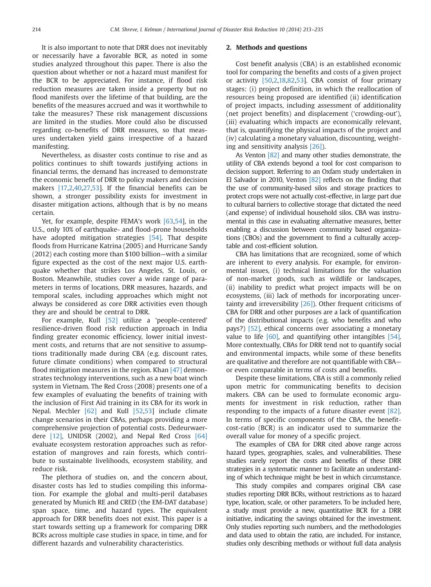<span id="page-2-0"></span>It is also important to note that DRR does not inevitably or necessarily have a favorable BCR, as noted in some studies analyzed throughout this paper. There is also the question about whether or not a hazard must manifest for the BCR to be appreciated. For instance, if flood risk reduction measures are taken inside a property but no flood manifests over the lifetime of that building, are the benefits of the measures accrued and was it worthwhile to take the measures? These risk management discussions are limited in the studies. More could also be discussed regarding co-benefits of DRR measures, so that measures undertaken yield gains irrespective of a hazard manifesting.

Nevertheless, as disaster costs continue to rise and as politics continues to shift towards justifying actions in financial terms, the demand has increased to demonstrate the economic benefit of DRR to policy makers and decision makers [\[17](#page-20-0),[2,](#page-20-0)[40](#page-21-0),[27](#page-20-0)[,53\]](#page-21-0). If the financial benefits can be shown, a stronger possibility exists for investment in disaster mitigation actions, although that is by no means certain.

Yet, for example, despite FEMA's work [\[63](#page-21-0),[54](#page-21-0)], in the U.S., only 10% of earthquake- and flood-prone households have adopted mitigation strategies [\[54\].](#page-21-0) That despite floods from Hurricane Katrina (2005) and Hurricane Sandy (2012) each costing more than \$100 billion—with a similar figure expected as the cost of the next major U.S. earthquake whether that strikes Los Angeles, St. Louis, or Boston. Meanwhile, studies cover a wide range of parameters in terms of locations, DRR measures, hazards, and temporal scales, including approaches which might not always be considered as core DRR activities even though they are and should be central to DRR.

For example, Kull [\[52\]](#page-21-0) utilize a 'people-centered' resilience-driven flood risk reduction approach in India finding greater economic efficiency, lower initial investment costs, and returns that are not sensitive to assumptions traditionally made during CBA (e.g. discount rates, future climate conditions) when compared to structural flood mitigation measures in the region. Khan [\[47\]](#page-21-0) demonstrates technology interventions, such as a new boat winch system in Vietnam. The Red Cross (2008) presents one of a few examples of evaluating the benefits of training with the inclusion of First Aid training in its CBA for its work in Nepal. Mechler [\[62\]](#page-21-0) and Kull [\[52,53](#page-21-0)] include climate change scenarios in their CBAs, perhaps providing a more comprehensive projection of potential costs. Dedeurwaerdere  $[12]$ , UNIDSR  $(2002)$ , and Nepal Red Cross  $[64]$ evaluate ecosystem restoration approaches such as reforestation of mangroves and rain forests, which contribute to sustainable livelihoods, ecosystem stability, and reduce risk.

The plethora of studies on, and the concern about, disaster costs has led to studies compiling this information. For example the global and multi-peril databases generated by Munich RE and CRED (the EM-DAT database) span space, time, and hazard types. The equivalent approach for DRR benefits does not exist. This paper is a start towards setting up a framework for comparing DRR BCRs across multiple case studies in space, in time, and for different hazards and vulnerability characteristics.

#### 2. Methods and questions

Cost benefit analysis (CBA) is an established economic tool for comparing the benefits and costs of a given project or activity [\[50,](#page-21-0)[2,18](#page-20-0),[82](#page-22-0)[,53\]](#page-21-0). CBA consist of four primary stages: (i) project definition, in which the reallocation of resources being proposed are identified (ii) identification of project impacts, including assessment of additionality (net project benefits) and displacement ('crowding-out'), (iii) evaluating which impacts are economically relevant, that is, quantifying the physical impacts of the project and (iv) calculating a monetary valuation, discounting, weighting and sensitivity analysis [\[26\]\)](#page-20-0).

As Venton [\[82\]](#page-22-0) and many other studies demonstrate, the utility of CBA extends beyond a tool for cost comparison to decision support. Referring to an Oxfam study undertaken in El Salvador in 2010, Venton [\[82\]](#page-22-0) reflects on the finding that the use of community-based silos and storage practices to protect crops were not actually cost-effective, in large part due to cultural barriers to collective storage that dictated the need (and expense) of individual household silos. CBA was instrumental in this case in evaluating alternative measures, better enabling a discussion between community based organizations (CBOs) and the government to find a culturally acceptable and cost-efficient solution.

CBA has limitations that are recognized, some of which are inherent to every analysis. For example, for environmental issues, (i) technical limitations for the valuation of non-market goods, such as wildlife or landscapes, (ii) inability to predict what project impacts will be on ecosystems, (iii) lack of methods for incorporating uncertainty and irreversibility [\[26\]](#page-20-0)). Other frequent criticisms of CBA for DRR and other purposes are a lack of quantification of the distributional impacts (e.g. who benefits and who pays?) [\[52\],](#page-21-0) ethical concerns over associating a monetary value to life [\[60\],](#page-21-0) and quantifying other intangibles [\[54\]](#page-21-0). More contextually, CBAs for DRR tend not to quantify social and environmental impacts, while some of these benefits are qualitative and therefore are not quantifiable with CBA or even comparable in terms of costs and benefits.

Despite these limitations, CBA is still a commonly relied upon metric for communicating benefits to decision makers. CBA can be used to formulate economic arguments for investment in risk reduction, rather than responding to the impacts of a future disaster event [\[82\]](#page-22-0). In terms of specific components of the CBA, the benefitcost-ratio (BCR) is an indicator used to summarize the overall value for money of a specific project.

The examples of CBA for DRR cited above range across hazard types, geographies, scales, and vulnerabilities. These studies rarely report the costs and benefits of these DRR strategies in a systematic manner to facilitate an understanding of which technique might be best in which circumstance.

This study compiles and compares original CBA case studies reporting DRR BCRs, without restrictions as to hazard type, location, scale, or other parameters. To be included here, a study must provide a new, quantitative BCR for a DRR initiative, indicating the savings obtained for the investment. Only studies reporting such numbers, and the methodologies and data used to obtain the ratio, are included. For instance, studies only describing methods or without full data analysis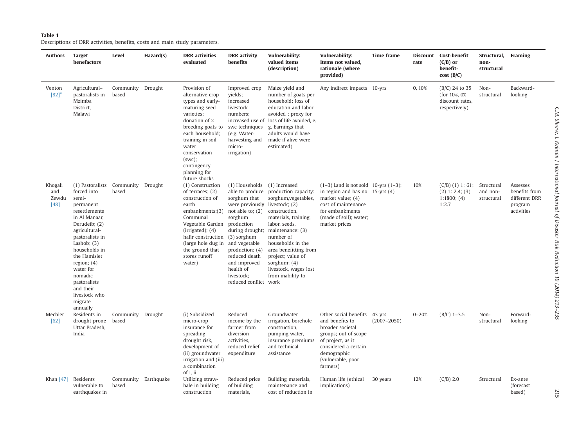| <b>Authors</b>                  | <b>Target</b><br>benefactors                                                                                                                                                                                                                                                                                 | <b>Level</b>                  | Hazard(s) | <b>DRR</b> activities<br>evaluated                                                                                                                                                                                                                  | <b>DRR</b> activity<br>benefits                                                                                                                                                                                                          | <b>Vulnerability:</b><br>valued items<br>(description)                                                                                                                                                                                                                            | <b>Vulnerability:</b><br>items not valued,<br>rationale (where<br>provided)                                                                                                                                                    | <b>Time frame</b> | rate      | Discount Cost-benefit<br>$(C/B)$ or<br>benefit-<br>cost(B/C)                 | Structural, Framing<br>non-<br>structural |                                                                     |
|---------------------------------|--------------------------------------------------------------------------------------------------------------------------------------------------------------------------------------------------------------------------------------------------------------------------------------------------------------|-------------------------------|-----------|-----------------------------------------------------------------------------------------------------------------------------------------------------------------------------------------------------------------------------------------------------|------------------------------------------------------------------------------------------------------------------------------------------------------------------------------------------------------------------------------------------|-----------------------------------------------------------------------------------------------------------------------------------------------------------------------------------------------------------------------------------------------------------------------------------|--------------------------------------------------------------------------------------------------------------------------------------------------------------------------------------------------------------------------------|-------------------|-----------|------------------------------------------------------------------------------|-------------------------------------------|---------------------------------------------------------------------|
| Venton<br>$[82]$ <sup>a</sup>   | Agricultural-<br>pastoralists in<br>Mzimba<br>District,<br>Malawi                                                                                                                                                                                                                                            | Community Drought<br>based    |           | Provision of<br>alternative crop<br>types and early-<br>maturing seed<br>varieties;<br>donation of 2<br>breeding goats to<br>each household;<br>training in soil<br>water<br>conservation<br>(swc);<br>contingency<br>planning for<br>future shocks | Improved crop<br>yields;<br>increased<br>livestock<br>numbers;<br>swc techniques<br>(e.g. Water-<br>harvesting and<br>micro-<br>irrigation)                                                                                              | Maize yield and<br>number of goats per<br>household; loss of<br>education and labor<br>avoided; proxy for<br>increased use of loss of life avoided, e.<br>g. Earnings that<br>adults would have<br>made if alive were<br>estimated)                                               | Any indirect impacts 10-yrs                                                                                                                                                                                                    |                   | 0,10%     | $(B/C)$ 24 to 35<br>(for 10%, 0%<br>discount rates,<br>respectively)         | Non-<br>structural                        | Backward-<br>looking                                                |
| Khogali<br>and<br>Zewdu<br>[48] | (1) Pastoralists<br>forced into<br>semi-<br>permanent<br>resettlements<br>in Al Manaar,<br>Derudeib; (2)<br>agricultural-<br>pastoralists in<br>Lashob; $(3)$<br>households in<br>the Hamisiet<br>region; $(4)$<br>water for<br>nomadic<br>pastoralists<br>and their<br>livestock who<br>migrate<br>annually | Community Drought<br>based    |           | (1) Construction<br>of terraces; (2)<br>construction of<br>earth<br>embankments;(3)<br>Communal<br>Vegetable Garden<br>(irrigated); (4)<br>hafir construction (3) sorghum<br>(large hole dug in<br>the ground that<br>stores runoff<br>water)       | (1) Households<br>sorghum that<br>were previously livestock; (2)<br>not able to; $(2)$<br>sorghum<br>production<br>and vegetable<br>production; (4)<br>reduced death<br>and improved<br>health of<br>livestock;<br>reduced conflict work | (1) Increased<br>sorghum, vegetables,<br>construction,<br>materials, training,<br>labor, seeds,<br>during drought; maintenance; (3)<br>number of<br>households in the<br>area benefitting from<br>project; value of<br>sorghum; (4)<br>livestock, wages lost<br>from inability to | $(1-3)$ Land is not sold 10-yrs $(1-3)$ ;<br>able to produce production capacity: in region and has no $15$ -yrs (4)<br>market value; (4)<br>cost of maintenance<br>for embankments<br>(made of soil); water;<br>market prices |                   | 10%       | $(C/B)$ (1) 1: 61; Structural<br>$(2)$ 1: 2.4; $(3)$<br>1:1800; (4)<br>1:2.7 | and non-<br>structural                    | Assesses<br>benefits from<br>different DRR<br>program<br>activities |
| Mechler<br>[62]                 | Residents in<br>drought prone<br>Uttar Pradesh,<br>India                                                                                                                                                                                                                                                     | Community Drought<br>based    |           | (i) Subsidized<br>micro-crop<br>insurance for<br>spreading<br>drought risk,<br>development of<br>(ii) groundwater<br>irrigation and (iii)<br>a combination<br>of i, ii                                                                              | Reduced<br>income by the<br>farmer from<br>diversion<br>activities,<br>reduced relief<br>expenditure                                                                                                                                     | Groundwater<br>irrigation, borehole<br>construction,<br>pumping water,<br>insurance premiums<br>and technical<br>assistance                                                                                                                                                       | Other social benefits 43 yrs<br>and benefits to<br>broader societal<br>groups; out of scope<br>of project, as it<br>considered a certain<br>demographic<br>(vulnerable, poor<br>farmers)                                       | $(2007 - 2050)$   | $0 - 20%$ | $(B/C)$ 1-3.5                                                                | Non-<br>structural                        | Forward-<br>looking                                                 |
| Khan $[47]$                     | Residents<br>vulnerable to<br>earthquakes in                                                                                                                                                                                                                                                                 | Community Earthquake<br>based |           | Utilizing straw-<br>bale in building<br>construction                                                                                                                                                                                                | Reduced price<br>of building<br>materials,                                                                                                                                                                                               | Building materials,<br>maintenance and<br>cost of reduction in                                                                                                                                                                                                                    | Human life (ethical<br>implications)                                                                                                                                                                                           | 30 years          | 12%       | (C/B) 2.0                                                                    | Structural                                | Ex-ante<br>(forecast<br>based)                                      |

## Table 1 Descriptions of DRR activities, benefits, costs and main study parameters.

215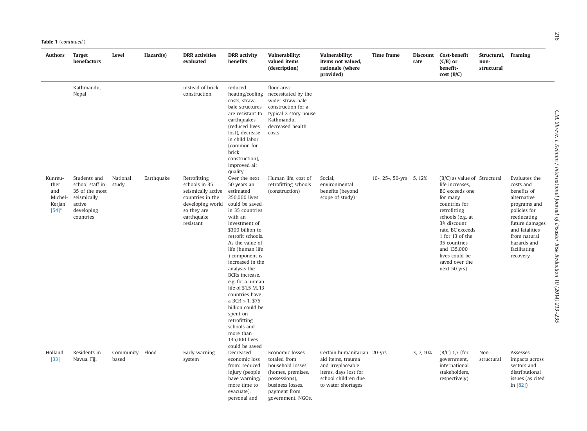| <b>Authors</b>                                                     | <b>Target</b><br>benefactors                                                                          | Level                    | Hazard(s)  | <b>DRR</b> activities<br>evaluated                                                                                                    | <b>DRR</b> activity<br>benefits                                                                                                                                                                                                                                                                                                                                                                                                                                                     | Vulnerability:<br>valued items<br>(description)                                                                                                    | <b>Vulnerability:</b><br>items not valued,<br>rationale (where<br>provided)                                                                | <b>Time frame</b>       | rate      | Discount Cost-benefit<br>$(C/B)$ or<br>benefit-<br>cost(B/C)                                                                                                                                                                                                                | Structural, Framing<br>non-<br>structural |                                                                                                                                                                                                        |
|--------------------------------------------------------------------|-------------------------------------------------------------------------------------------------------|--------------------------|------------|---------------------------------------------------------------------------------------------------------------------------------------|-------------------------------------------------------------------------------------------------------------------------------------------------------------------------------------------------------------------------------------------------------------------------------------------------------------------------------------------------------------------------------------------------------------------------------------------------------------------------------------|----------------------------------------------------------------------------------------------------------------------------------------------------|--------------------------------------------------------------------------------------------------------------------------------------------|-------------------------|-----------|-----------------------------------------------------------------------------------------------------------------------------------------------------------------------------------------------------------------------------------------------------------------------------|-------------------------------------------|--------------------------------------------------------------------------------------------------------------------------------------------------------------------------------------------------------|
|                                                                    | Kathmandu,<br>Nepal                                                                                   |                          |            | instead of brick<br>construction                                                                                                      | reduced<br>heating/cooling<br>costs, straw-<br>bale structures<br>are resistant to<br>earthquakes<br>(reduced lives<br>lost), decrease<br>in child labor<br>(common for<br>brick<br>construction),<br>improved air<br>quality                                                                                                                                                                                                                                                       | floor area<br>necessitated by the<br>wider straw-bale<br>construction for a<br>typical 2 story house<br>Kathmandu,<br>decreased health<br>costs    |                                                                                                                                            |                         |           |                                                                                                                                                                                                                                                                             |                                           |                                                                                                                                                                                                        |
| Kunreu-<br>ther<br>and<br>Michel-<br>Kerjan<br>$[54]$ <sup>a</sup> | Students and<br>school staff in<br>35 of the most<br>seismically<br>active<br>developing<br>countries | National<br>study        | Earthquake | Retrofitting<br>schools in 35<br>seismically active<br>countries in the<br>developing world<br>so they are<br>earthquake<br>resistant | Over the next<br>50 years an<br>estimated<br>250,000 lives<br>could be saved<br>in 35 countries<br>with an<br>investment of<br>\$300 billion to<br>retrofit schools.<br>As the value of<br>life (human life<br>) component is<br>increased in the<br>analysis the<br>BCRs increase,<br>e.g. for a human<br>life of \$1.5 M, 13<br>countries have<br>a BCR $> 1, $75$<br>billion could be<br>spent on<br>retrofitting<br>schools and<br>more than<br>135,000 lives<br>could be saved | Human life, cost of<br>retrofitting schools<br>(construction)                                                                                      | Social,<br>environmental<br>benefits (beyond<br>scope of study)                                                                            | 10-, 25-, 50-yrs 5, 12% |           | (B/C) as value of Structural<br>life increases,<br>BC exceeds one<br>for many<br>countries for<br>retrofitting<br>schools (e.g. at<br>3% discount<br>rate, BC exceeds<br>1 for 13 of the<br>35 countries<br>and 135,000<br>lives could be<br>saved over the<br>next 50 yrs) |                                           | Evaluates the<br>costs and<br>benefits of<br>alternative<br>programs and<br>policies for<br>reeducating<br>future damages<br>and fatalities<br>from natural<br>hazards and<br>facilitating<br>recovery |
| Holland<br>$[33]$                                                  | Residents in<br>Navua, Fiji                                                                           | Community Flood<br>based |            | Early warning<br>system                                                                                                               | Decreased<br>economic loss<br>from: reduced<br>injury (people)<br>have warning/<br>more time to<br>evacuate),<br>personal and                                                                                                                                                                                                                                                                                                                                                       | Economic losses<br>totaled from<br>household losses<br>(homes, premises,<br>possessions),<br>business losses,<br>payment from<br>government, NGOs, | Certain humanitarian 20-yrs<br>aid items, trauma<br>and irreplaceable<br>items, days lost for<br>school children due<br>to water shortages |                         | 3, 7, 10% | $(B/C)$ 1,7 (for<br>government,<br>international<br>stakeholders,<br>respectively)                                                                                                                                                                                          | Non-<br>structural                        | Assesses<br>impacts across<br>sectors and<br>distributional<br>issues (as cited<br>in [82])                                                                                                            |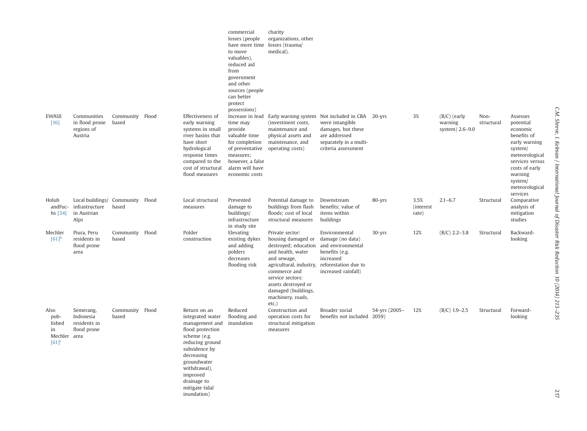|                                                                     |                                                                                   |                          |                                                                                                                                                                                                                                     | commercial<br>losses (people)<br>have more time<br>to move<br>valuables),<br>reduced aid<br>from<br>government<br>and other<br>sources (people<br>can better<br>protect<br>possessions) | charity<br>organizations, other<br>losses (trauma/<br>medical).                                                                                                                                                                                 |                                                                                                                                      |               |                             |                                              |                    |                                                                                                                                                                                         |
|---------------------------------------------------------------------|-----------------------------------------------------------------------------------|--------------------------|-------------------------------------------------------------------------------------------------------------------------------------------------------------------------------------------------------------------------------------|-----------------------------------------------------------------------------------------------------------------------------------------------------------------------------------------|-------------------------------------------------------------------------------------------------------------------------------------------------------------------------------------------------------------------------------------------------|--------------------------------------------------------------------------------------------------------------------------------------|---------------|-----------------------------|----------------------------------------------|--------------------|-----------------------------------------------------------------------------------------------------------------------------------------------------------------------------------------|
| <b>EWASE</b><br>$[16]$                                              | Communities<br>in flood prone<br>regions of<br>Austria                            | Community Flood<br>based | Effectiveness of<br>early warning<br>systems in small<br>river basins that<br>have short<br>hydrological<br>response times<br>compared to the<br>cost of structural<br>flood measures                                               | time may<br>provide<br>valuable time<br>for completion<br>of preventative<br>measures;<br>however, a false<br>alarm will have<br>economic costs                                         | Increase in lead Early warning system Not included in CBA 20-yrs<br>(investment costs,<br>maintenance and<br>physical assets and<br>maintenance, and<br>operating costs)                                                                        | were intangible<br>damages, but these<br>are addressed<br>separately in a multi-<br>criteria assessment                              |               | 3%                          | $(B/C)$ (early<br>warning<br>system) 2.6-9.0 | Non-<br>structural | Assesses<br>potential<br>economic<br>benefits of<br>early warning<br>system/<br>meteorological<br>services versus<br>costs of early<br>warning<br>system/<br>meteorological<br>services |
| Holub<br>hs $[34]$                                                  | Local buildings/ Community Flood<br>andFuc- infrastructure<br>in Austrian<br>Alps | based                    | Local structural<br>measures                                                                                                                                                                                                        | Prevented<br>damage to<br>buildings/<br>infrastructure<br>in study site                                                                                                                 | Potential damage to<br>buildings from flash<br>floods; cost of local<br>structural measures                                                                                                                                                     | Downstream<br>benefits; value of<br>items within<br>buildings                                                                        | 80-yrs        | 3.5%<br>(interest)<br>rate) | $2.1 - 6.7$                                  | Structural         | Comparative<br>analysis of<br>mitigation<br>studies                                                                                                                                     |
| Mechler<br>$[61]^{b}$                                               | Piura, Peru<br>residents in<br>flood prone<br>area                                | Community Flood<br>based | Polder<br>construction                                                                                                                                                                                                              | Elevating<br>existing dykes<br>and adding<br>polders<br>decreases<br>flooding risk                                                                                                      | Private sector:<br>housing damaged or<br>destroyed; education<br>and health, water<br>and sewage,<br>agricultural, industry,<br>commerce and<br>service sectors:<br>assets destroyed or<br>damaged (buildings,<br>machinery, roads,<br>$etc.$ ) | Environmental<br>damage (no data)<br>and environmental<br>benefits (e.g.<br>increased<br>reforestation due to<br>increased rainfall) | 30-yrs        | 12%                         | $(B/C)$ 2.2-3.8                              | Structural         | Backward-<br>looking                                                                                                                                                                    |
| Also<br>pub-<br>lished<br>in<br>Mechler area<br>$[61]$ <sup>c</sup> | Semerang,<br>Indonesia<br>residents in<br>flood prone                             | Community Flood<br>based | Return on an<br>integrated water<br>management and<br>flood protection<br>scheme (e.g.<br>reducing ground<br>subsidence by<br>decreasing<br>groundwater<br>withdrawal),<br>improved<br>drainage to<br>mitigate tidal<br>inundation) | Reduced<br>flooding and<br>inundation                                                                                                                                                   | Construction and<br>operation costs for<br>structural mitigation<br>measures                                                                                                                                                                    | Broader social<br>benefits not included 2059)                                                                                        | 54-yrs (2005- | 12%                         | $(B/C)$ 1.9-2.5                              | Structural         | Forward-<br>looking                                                                                                                                                                     |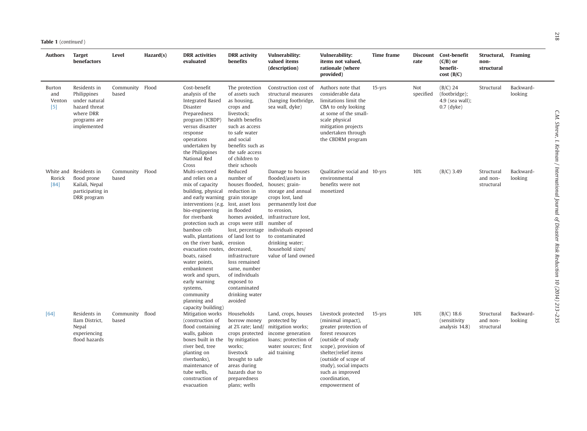Table 1 (*continued* )

| <b>Authors</b>                               | <b>Target</b><br>benefactors                                                                              | Level                    | Hazard(s) | <b>DRR</b> activities<br>evaluated                                                                                                                                                                                                                                                                                                                                                                                                                  | <b>DRR</b> activity<br>benefits                                                                                                                                                                                                                                                                             | Vulnerability:<br>valued items<br>(description)                                                                                                                                                                                                                                       | <b>Vulnerability:</b><br>items not valued,<br>rationale (where<br>provided)                                                                                                                                                                                         | Time frame | Discount<br>rate | <b>Cost-benefit</b><br>$(C/B)$ or<br>benefit-<br>cost(B/C)       | Structural,<br>non-<br>structural    | Framing              |
|----------------------------------------------|-----------------------------------------------------------------------------------------------------------|--------------------------|-----------|-----------------------------------------------------------------------------------------------------------------------------------------------------------------------------------------------------------------------------------------------------------------------------------------------------------------------------------------------------------------------------------------------------------------------------------------------------|-------------------------------------------------------------------------------------------------------------------------------------------------------------------------------------------------------------------------------------------------------------------------------------------------------------|---------------------------------------------------------------------------------------------------------------------------------------------------------------------------------------------------------------------------------------------------------------------------------------|---------------------------------------------------------------------------------------------------------------------------------------------------------------------------------------------------------------------------------------------------------------------|------------|------------------|------------------------------------------------------------------|--------------------------------------|----------------------|
| Burton<br>and<br>Venton<br>$\lceil 5 \rceil$ | Residents in<br>Philippines<br>under natural<br>hazard threat<br>where DRR<br>programs are<br>implemented | Community Flood<br>based |           | Cost-benefit<br>analysis of the<br><b>Integrated Based</b><br>Disaster<br>Preparedness<br>program (ICBDP)<br>versus disaster<br>response<br>operations<br>undertaken by<br>the Philippines<br>National Red<br>Cross                                                                                                                                                                                                                                 | The protection<br>of assets such<br>as housing,<br>crops and<br>livestock;<br>health benefits<br>such as access<br>to safe water<br>and social<br>benefits such as<br>the safe access<br>of children to<br>their schools                                                                                    | Construction cost of<br>structural measures<br>(hanging footbridge,<br>sea wall, dyke)                                                                                                                                                                                                | Authors note that<br>considerable data<br>limitations limit the<br>CBA to only looking<br>at some of the small-<br>scale physical<br>mitigation projects<br>undertaken through<br>the CBDRM program                                                                 | $15 - yrs$ | Not<br>specified | $(B/C)$ 24<br>(footbridge);<br>$4.9$ (sea wall);<br>$0.7$ (dyke) | Structural                           | Backward-<br>looking |
| Rorick<br>$[84]$                             | White and Residents in<br>flood prone<br>Kailali, Nepal<br>participating in<br>DRR program                | Community Flood<br>based |           | Multi-sectored<br>and relies on a<br>mix of capacity<br>building, physical<br>and early warning grain storage<br>interventions (e.g.<br>bio-engineering<br>for riverbank<br>protection such as crops were still<br>bamboo crib<br>walls, plantations<br>on the river bank,<br>evacuation routes,<br>boats, raised<br>water points,<br>embankment<br>work and spurs,<br>early warning<br>systems,<br>community<br>planning and<br>capacity building) | Reduced<br>number of<br>houses flooded,<br>reduction in<br>lost, asset loss<br>in flooded<br>homes avoided,<br>lost, percentage<br>of land lost to<br>erosion<br>decreased,<br>infrastructure<br>loss remained<br>same, number<br>of individuals<br>exposed to<br>contaminated<br>drinking water<br>avoided | Damage to houses<br>flooded/assets in<br>houses; grain-<br>storage and annual<br>crops lost, land<br>permanently lost due<br>to erosion,<br>infrastructure lost,<br>number of<br>individuals exposed<br>to contaminated<br>drinking water;<br>household sizes/<br>value of land owned | Qualitative social and 10-yrs<br>environmental<br>benefits were not<br>monetized                                                                                                                                                                                    |            | 10%              | $(B/C)$ 3.49                                                     | Structural<br>and non-<br>structural | Backward-<br>looking |
| [64]                                         | Residents in<br>Ilam District,<br>Nepal<br>experiencing<br>flood hazards                                  | Community flood<br>based |           | Mitigation works<br>(construction of<br>flood containing<br>walls, gabion<br>boxes built in the<br>river bed, tree<br>planting on<br>riverbanks),<br>maintenance of<br>tube wells,<br>construction of<br>evacuation                                                                                                                                                                                                                                 | Households<br>borrow money<br>at $2\%$ rate; land/<br>crops protected<br>by mitigation<br>works:<br>livestock<br>brought to safe<br>areas during<br>hazards due to<br>preparedness<br>plans; wells                                                                                                          | Land, crops, houses<br>protected by<br>mitigation works;<br>income generation<br>loans; protection of<br>water sources: first<br>aid training                                                                                                                                         | Livestock protected<br>(minimal impact),<br>greater protection of<br>forest resources<br>(outside of study<br>scope), provision of<br>shelter/relief items<br>(outside of scope of<br>study), social impacts<br>such as improved<br>coordination,<br>empowerment of | $15 - yrs$ | 10%              | $(B/C)$ 18.6<br>(sensitivity<br>analysis 14.8)                   | Structural<br>and non-<br>structural | Backward-<br>looking |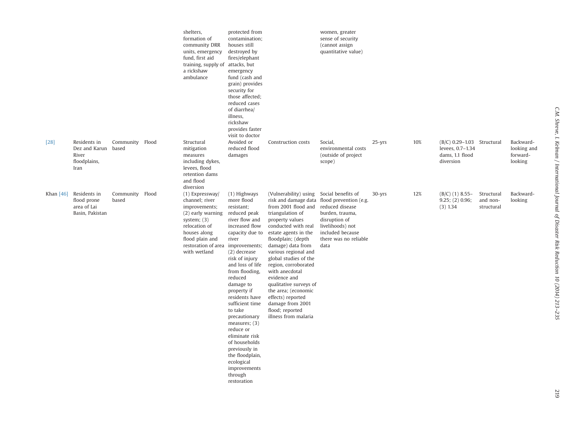|             |                                                                |                          | shelters,<br>formation of<br>community DRR<br>units, emergency<br>fund, first aid<br>training, supply of attacks, but<br>a rickshaw<br>ambulance                                     | protected from<br>contamination;<br>houses still<br>destroyed by<br>fires/elephant<br>emergency<br>fund (cash and<br>grain) provides<br>security for<br>those affected;<br>reduced cases<br>of diarrhea/<br>illness,<br>rickshaw<br>provides faster<br>visit to doctor                                                                                                                                                                                                                 |                                                                                                                                                                                                                                                                                                                                                                                                                                                       | women, greater<br>sense of security<br>(cannot assign<br>quantitative value)                                                                                                 |            |     |                                                                                |                                      |                                                 |
|-------------|----------------------------------------------------------------|--------------------------|--------------------------------------------------------------------------------------------------------------------------------------------------------------------------------------|----------------------------------------------------------------------------------------------------------------------------------------------------------------------------------------------------------------------------------------------------------------------------------------------------------------------------------------------------------------------------------------------------------------------------------------------------------------------------------------|-------------------------------------------------------------------------------------------------------------------------------------------------------------------------------------------------------------------------------------------------------------------------------------------------------------------------------------------------------------------------------------------------------------------------------------------------------|------------------------------------------------------------------------------------------------------------------------------------------------------------------------------|------------|-----|--------------------------------------------------------------------------------|--------------------------------------|-------------------------------------------------|
| $[28]$      | Residents in<br>Dez and Karun<br>River<br>floodplains,<br>Iran | Community Flood<br>based | Structural<br>mitigation<br>measures<br>including dykes,<br>levees, flood<br>retention dams<br>and flood<br>diversion                                                                | Avoided or<br>reduced flood<br>damages                                                                                                                                                                                                                                                                                                                                                                                                                                                 | Construction costs                                                                                                                                                                                                                                                                                                                                                                                                                                    | Social,<br>environmental costs<br>(outside of project<br>scope)                                                                                                              | $25 - yrs$ | 10% | (B/C) 0.29-1.03 Structural<br>levees, 0.7-1.34<br>dams, 1.1 flood<br>diversion |                                      | Backward-<br>looking and<br>forward-<br>looking |
| Khan $[46]$ | Residents in<br>flood prone<br>area of Lai<br>Basin, Pakistan  | Community Flood<br>based | $(1)$ Expressway<br>channel; river<br>improvements;<br>(2) early warning<br>system; $(3)$<br>relocation of<br>houses along<br>flood plain and<br>restoration of area<br>with wetland | (1) Highways<br>more flood<br>resistant;<br>reduced peak<br>river flow and<br>increased flow<br>capacity due to<br>river<br>improvements;<br>(2) decrease<br>risk of injury<br>and loss of life<br>from flooding,<br>reduced<br>damage to<br>property if<br>residents have<br>sufficient time<br>to take<br>precautionary<br>measures; (3)<br>reduce or<br>eliminate risk<br>of households<br>previously in<br>the floodplain,<br>ecological<br>improvements<br>through<br>restoration | (Vulnerability) using<br>risk and damage data<br>from 2001 flood and<br>triangulation of<br>property values<br>conducted with real<br>estate agents in the<br>floodplain; (depth<br>damage) data from<br>various regional and<br>global studies of the<br>region, corroborated<br>with anecdotal<br>evidence and<br>qualitative surveys of<br>the area; (economic<br>effects) reported<br>damage from 2001<br>flood; reported<br>illness from malaria | Social benefits of<br>flood prevention (e.g.<br>reduced disease<br>burden, trauma,<br>disruption of<br>livelihoods) not<br>included because<br>there was no reliable<br>data | 30-yrs     | 12% | $(B/C)$ (1) 8.55-<br>$9.25$ ; $(2)$ 0.96;<br>(3) 1.34                          | Structural<br>and non-<br>structural | Backward-<br>looking                            |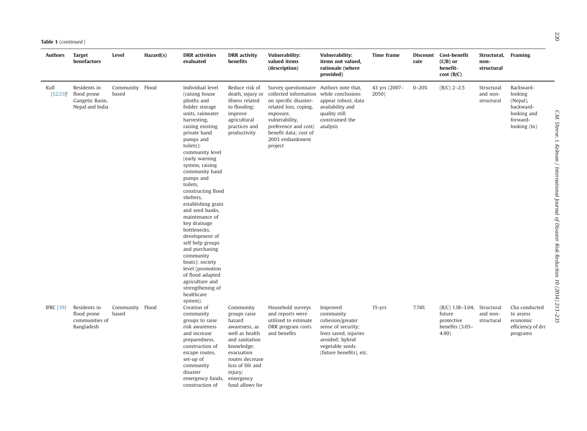Table 1 (*continued* )

| <b>Authors</b>                  | <b>Target</b><br>benefactors                                      | Level                    | Hazard(s) | <b>DRR</b> activities<br>evaluated                                                                                                                                                                                                                                                                                                                                                                                                                                                                                                                                                                       | <b>DRR</b> activity<br>benefits                                                                                                                                                           | <b>Vulnerability:</b><br>valued items<br>(description)                                                                                                                                                                           | <b>Vulnerability:</b><br>items not valued,<br>rationale (where<br>provided)                                                                               | Time frame             | rate      | Discount Cost-benefit<br>$(C/B)$ or<br>benefit-<br>cost(B/C)                       | Structural, Framing<br>non-<br>structural |                                                                                          |
|---------------------------------|-------------------------------------------------------------------|--------------------------|-----------|----------------------------------------------------------------------------------------------------------------------------------------------------------------------------------------------------------------------------------------------------------------------------------------------------------------------------------------------------------------------------------------------------------------------------------------------------------------------------------------------------------------------------------------------------------------------------------------------------------|-------------------------------------------------------------------------------------------------------------------------------------------------------------------------------------------|----------------------------------------------------------------------------------------------------------------------------------------------------------------------------------------------------------------------------------|-----------------------------------------------------------------------------------------------------------------------------------------------------------|------------------------|-----------|------------------------------------------------------------------------------------|-------------------------------------------|------------------------------------------------------------------------------------------|
| Kull<br>$[52, 53]$ <sup>c</sup> | Residents in<br>flood prone<br>Gangetic Basin,<br>Nepal and India | Community Flood<br>based |           | Individual level<br>(raising house)<br>plinths and<br>fodder storage<br>units, rainwater<br>harvesting,<br>raising existing<br>private hand<br>pumps and<br>toilets);<br>community level<br>(early warning)<br>system, raising<br>community hand<br>pumps and<br>toilets,<br>constructing flood<br>shelters,<br>establishing grain<br>and seed banks,<br>maintenance of<br>key drainage<br>bottlenecks,<br>development of<br>self help groups<br>and purchasing<br>community<br>boats); society<br>level (promotion<br>of flood adapted<br>agriculture and<br>strengthening of<br>healthcare<br>system). | Reduce risk of<br>death, injury or<br>illness related<br>to flooding;<br>improve<br>agricultural<br>practices and<br>productivity                                                         | Survey questionnaire Authors note that,<br>collected information<br>on specific disaster-<br>related loss, coping,<br>exposure,<br>vulnerability,<br>preference and cost/<br>benefit data; cost of<br>2003 embankment<br>project | while conclusions<br>appear robust, data<br>availability and<br>quality still<br>constrained the<br>analysis                                              | 43 yrs (2007-<br>2050) | $0 - 20%$ | $(B/C)$ 2-2.5                                                                      | Structural<br>and non-<br>structural      | Backward-<br>looking<br>(Nepal),<br>backward-<br>looking and<br>forward-<br>looking (In) |
| <b>IFRC</b> [39]                | Residents in<br>flood prone<br>communities of<br>Bangladesh       | Community Flood<br>based |           | Creation of<br>community<br>groups to raise<br>risk awareness<br>and increase<br>preparedness,<br>construction of<br>escape routes,<br>set-up of<br>community<br>disaster<br>emergency funds, emergency<br>construction of                                                                                                                                                                                                                                                                                                                                                                               | Community<br>groups raise<br>hazard<br>awareness, as<br>well as health<br>and sanitation<br>knowledge;<br>evacuation<br>routes decrease<br>loss of life and<br>injury;<br>fund allows for | Household surveys<br>and reports were<br>utilized to estimate<br>DRR program costs<br>and benefits                                                                                                                               | Improved<br>community<br>cohesion/greater<br>sense of security;<br>lives saved, injuries<br>avoided; hybrid<br>vegetable seeds<br>(future benefits), etc. | $15 - yrs$             | 7.74%     | (B/C) 1.18-3.04; Structural<br>future<br>protective<br>benefits $(3.05 -$<br>4.90) | and non-<br>structural                    | Cba conducted<br>to assess<br>economic<br>efficiency of drr<br>programs                  |

220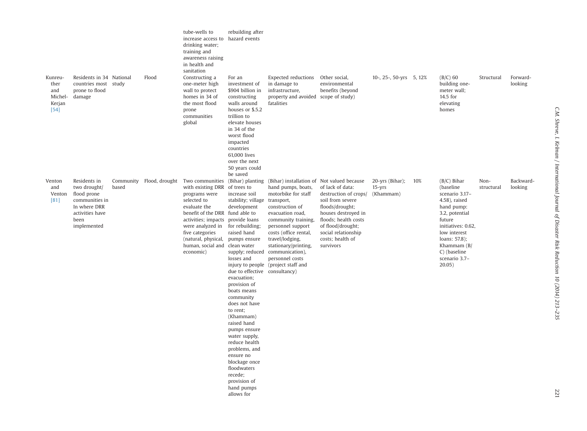| Kunreu-<br>ther<br>and<br>Michel-<br>Kerjan<br>$[54]$ | Residents in 34 National<br>countries most study<br>prone to flood<br>damage                                            |       | Flood | tube-wells to<br>increase access to<br>drinking water;<br>training and<br>awareness raising<br>in health and<br>sanitation<br>Constructing a<br>one-meter high<br>wall to protect<br>homes in 34 of<br>the most flood<br>prone<br>communities<br>global                               | rebuilding after<br>hazard events<br>For an<br>investment of<br>\$904 billion in<br>constructing<br>walls around<br>houses or \$.5.2<br>trillion to<br>elevate houses<br>in 34 of the<br>worst flood<br>impacted<br>countries<br>61,000 lives<br>over the next<br>50 years could<br>be saved                                                                                                                                                                                            | <b>Expected reductions</b><br>in damage to<br>infrastructure,<br>property and avoided scope of study)<br>fatalities                                                                                                                                                                                                                                          | Other social,<br>environmental<br>benefits (beyond                                                                                                                                                           | 10-, 25-, 50-yrs 5, 12%                    |     | $(B/C)$ 60<br>building one-<br>meter wall;<br>14.5 for<br>elevating<br>homes                                                                                                                                             | Structural         | Forward-<br>looking  |
|-------------------------------------------------------|-------------------------------------------------------------------------------------------------------------------------|-------|-------|---------------------------------------------------------------------------------------------------------------------------------------------------------------------------------------------------------------------------------------------------------------------------------------|-----------------------------------------------------------------------------------------------------------------------------------------------------------------------------------------------------------------------------------------------------------------------------------------------------------------------------------------------------------------------------------------------------------------------------------------------------------------------------------------|--------------------------------------------------------------------------------------------------------------------------------------------------------------------------------------------------------------------------------------------------------------------------------------------------------------------------------------------------------------|--------------------------------------------------------------------------------------------------------------------------------------------------------------------------------------------------------------|--------------------------------------------|-----|--------------------------------------------------------------------------------------------------------------------------------------------------------------------------------------------------------------------------|--------------------|----------------------|
| Venton<br>and<br>Venton<br>$[81]$                     | Residents in<br>two drought/<br>flood prone<br>communities in<br>In where DRR<br>activities have<br>been<br>implemented | based |       | Community Flood, drought Two communities<br>with existing DRR<br>programs were<br>selected to<br>evaluate the<br>benefit of the DRR fund able to<br>activities; impacts provide loans<br>were analyzed in<br>five categories<br>(natural, physical,<br>human, social and<br>economic) | of trees to<br>increase soil<br>stability; village transport,<br>development<br>for rebuilding;<br>raised hand<br>pumps ensure<br>clean water<br>losses and<br>due to effective consultancy)<br>evacuation;<br>provision of<br>boats means<br>community<br>does not have<br>to rent;<br>(Khammam)<br>raised hand<br>pumps ensure<br>water supply,<br>reduce health<br>problems, and<br>ensure no<br>blockage once<br>floodwaters<br>recede;<br>provision of<br>hand pumps<br>allows for | (Bihar) planting (Bihar) installation of Not valued because<br>hand pumps, boats,<br>motorbike for staff<br>construction of<br>evacuation road,<br>community training,<br>personnel support<br>costs (office rental,<br>travel/lodging,<br>stationary/printing,<br>supply; reduced communication),<br>personnel costs<br>injury to people (project staff and | of lack of data:<br>destruction of crops/<br>soil from severe<br>floods/drought;<br>houses destroyed in<br>floods; health costs<br>of flood/drought;<br>social relationship<br>costs; health of<br>survivors | 20-yrs (Bihar);<br>$15 - yrs$<br>(Khammam) | 10% | $(B/C)$ Bihar<br>(baseline<br>scenario 3.17-<br>4.58), raised<br>hand pump:<br>3.2, potential<br>future<br>initiatives: 0.62,<br>low interest<br>loans: 57.8);<br>Khammam (B/<br>C) (baseline<br>scenario 3.7-<br>20.05) | Non-<br>structural | Backward-<br>looking |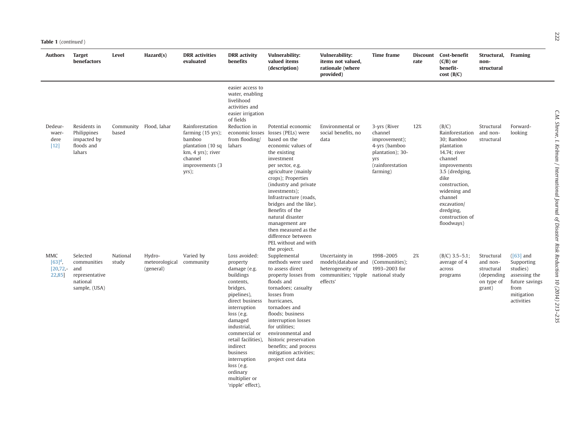|  | <b>Table 1</b> (continued) |  |
|--|----------------------------|--|
|--|----------------------------|--|

| <b>Authors</b>                                | <b>Target</b><br>benefactors                                                  | Level             | Hazard(s)                             | <b>DRR</b> activities<br>evaluated                                                         | <b>DRR</b> activity<br>benefits                                                                                                                                                                                                                                                                                           | Vulnerability:<br>valued items<br>(description)                                                                                                                                                                                                                                                                                                                                 | <b>Vulnerability:</b><br>items not valued,<br>rationale (where<br>provided)                                                 | <b>Time frame</b>                                                                                | rate | Discount Cost-benefit<br>$(C/B)$ or<br>benefit-<br>cost(B/C)                                                                                                                                           | Structural, Framing<br>non-<br>structural                                   |                                                                                                              |
|-----------------------------------------------|-------------------------------------------------------------------------------|-------------------|---------------------------------------|--------------------------------------------------------------------------------------------|---------------------------------------------------------------------------------------------------------------------------------------------------------------------------------------------------------------------------------------------------------------------------------------------------------------------------|---------------------------------------------------------------------------------------------------------------------------------------------------------------------------------------------------------------------------------------------------------------------------------------------------------------------------------------------------------------------------------|-----------------------------------------------------------------------------------------------------------------------------|--------------------------------------------------------------------------------------------------|------|--------------------------------------------------------------------------------------------------------------------------------------------------------------------------------------------------------|-----------------------------------------------------------------------------|--------------------------------------------------------------------------------------------------------------|
| Dedeur-<br>waer-                              | Residents in<br>Philippines                                                   | based             | Community Flood, lahar                | Rainforestation<br>farming $(15 \text{ yrs})$ ;                                            | easier access to<br>water, enabling<br>livelihood<br>activities and<br>easier irrigation<br>of fields<br>Reduction in<br>economic losses                                                                                                                                                                                  | Potential economic<br>losses (PELs) were                                                                                                                                                                                                                                                                                                                                        | Environmental or<br>social benefits, no                                                                                     | 3-yrs (River<br>channel                                                                          | 12%  | (B/C)<br>Rainforestation                                                                                                                                                                               | Structural<br>and non-                                                      | Forward-<br>looking                                                                                          |
| dere<br>$[12]$                                | impacted by<br>floods and<br>lahars                                           |                   |                                       | bamboo<br>plantation (10 sq<br>km, 4 yrs); river<br>channel<br>improvements (3)<br>$yrs$ ; | from flooding/<br>lahars                                                                                                                                                                                                                                                                                                  | based on the<br>economic values of<br>the existing<br>investment<br>per sector, e.g.<br>agriculture (mainly<br>crops); Properties<br>(industry and private)<br>investments);<br>Infrastructure (roads,<br>bridges and the like).<br>Benefits of the<br>natural disaster<br>management are<br>then measured as the<br>difference between<br>PEL without and with<br>the project. | data                                                                                                                        | improvement);<br>4-yrs (bamboo<br>plantation); 30-<br><b>Vrs</b><br>(rainforestation<br>farming) |      | 30; Bamboo<br>plantation<br>14.74; river<br>channel<br>improvements<br>3.5 (dredging,<br>dike<br>construction,<br>widening and<br>channel<br>excavation/<br>dredging.<br>construction of<br>floodways) | structural                                                                  |                                                                                                              |
| MMC<br>$[63]^{d}$ ,<br>$[20, 72, -]$<br>22,85 | Selected<br>communities<br>and<br>representative<br>national<br>sample, (USA) | National<br>study | Hydro-<br>meteorological<br>(general) | Varied by<br>community                                                                     | Loss avoided:<br>property<br>damage (e.g.<br>buildings<br>contents,<br>bridges,<br>pipelines),<br>direct business<br>interruption<br>loss (e.g.<br>damaged<br>industrial,<br>commercial or<br>retail facilities),<br>indirect<br>business<br>interruption<br>loss (e.g.<br>ordinary<br>multiplier or<br>'ripple' effect), | Supplemental<br>methods were used<br>to assess direct<br>property losses from<br>floods and<br>tornadoes; casualty<br>losses from<br>hurricanes,<br>tornadoes and<br>floods; business<br>interruption losses<br>for utilities;<br>environmental and<br>historic preservation<br>benefits; and process<br>mitigation activities;<br>project cost data                            | Uncertainty in<br>models/database and (Communities);<br>heterogeneity of<br>communities; 'ripple national study<br>effects' | 1998-2005<br>1993-2003 for                                                                       | 2%   | $(B/C)$ 3.5-5.1;<br>average of 4<br>across<br>programs                                                                                                                                                 | Structural<br>and non-<br>structural<br>(depending)<br>on type of<br>grant) | $([63]$ and<br>Supporting<br>studies)<br>assessing the<br>future savings<br>from<br>mitigation<br>activities |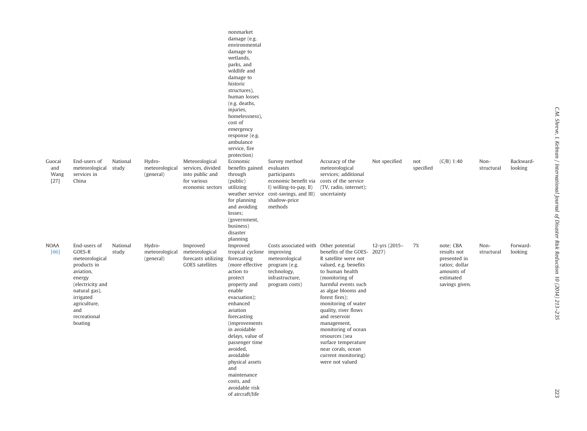|                                 |                                                                                                                                                                                    |                   |                                       |                                                                                           | nonmarket<br>damage (e.g.<br>environmental<br>damage to<br>wetlands,<br>parks, and<br>wildlife and<br>damage to<br>historic<br>structures),<br>human losses<br>(e.g. deaths,<br>injuries,<br>homelessness),<br>cost of<br>emergency<br>response (e.g.<br>ambulance<br>service, fire<br>protection)                                                                             |                                                                                                                                                   |                                                                                                                                                                                                                                                                                                                                                                                                  |               |                  |                                                                                                         |                    |                      |
|---------------------------------|------------------------------------------------------------------------------------------------------------------------------------------------------------------------------------|-------------------|---------------------------------------|-------------------------------------------------------------------------------------------|--------------------------------------------------------------------------------------------------------------------------------------------------------------------------------------------------------------------------------------------------------------------------------------------------------------------------------------------------------------------------------|---------------------------------------------------------------------------------------------------------------------------------------------------|--------------------------------------------------------------------------------------------------------------------------------------------------------------------------------------------------------------------------------------------------------------------------------------------------------------------------------------------------------------------------------------------------|---------------|------------------|---------------------------------------------------------------------------------------------------------|--------------------|----------------------|
| Guocai<br>and<br>Wang<br>$[27]$ | End-users of<br>meteorological<br>services in<br>China                                                                                                                             | National<br>study | Hydro-<br>meteorological<br>(general) | Meteorological<br>services, divided<br>into public and<br>for various<br>economic sectors | Economic<br>benefits gained<br>through<br>(public)<br>utilizing<br>weather service<br>for planning<br>and avoiding<br>losses;<br>(government,<br>business)<br>disaster<br>planning                                                                                                                                                                                             | Survey method<br>evaluates<br>participants<br>economic benefit via<br>I) willing-to-pay, II)<br>cost-savings, and III)<br>shadow-price<br>methods | Accuracy of the<br>meteorological<br>services; additional<br>costs of the service<br>(TV, radio, internet);<br>uncertainty                                                                                                                                                                                                                                                                       | Not specified | not<br>specified | $(C/B)$ 1:40                                                                                            | Non-<br>structural | Backward-<br>looking |
| <b>NOAA</b><br>$[66]$           | End-users of<br>GOES-R<br>meteorological<br>products in<br>aviation,<br>energy<br>(electricity and<br>natural gas),<br>irrigated<br>agriculture,<br>and<br>recreational<br>boating | National<br>study | Hydro-<br>meteorological<br>(general) | Improved<br>meteorological<br>forecasts utilizing<br><b>GOES</b> satellites               | Improved<br>tropical cyclone improving<br>forecasting<br>(more effective<br>action to<br>protect<br>property and<br>enable<br>evacuation);<br>enhanced<br>aviation<br>forecasting<br>(improvements<br>in avoidable<br>delays, value of<br>passenger time<br>avoided.<br>avoidable<br>physical assets<br>and<br>maintenance<br>costs, and<br>avoidable risk<br>of aircraft/life | Costs associated with Other potential<br>meteorological<br>program (e.g.<br>technology,<br>infrastructure,<br>program costs)                      | benefits of the GOES- 2027)<br>R satellite were not<br>valued, e.g. benefits<br>to human health<br>(monitoring of<br>harmful events such<br>as algae blooms and<br>forest fires);<br>monitoring of water<br>quality, river flows<br>and reservoir<br>management,<br>monitoring of ocean<br>resources (sea<br>surface temperature<br>near corals, ocean<br>current monitoring)<br>were not valued | 12-yrs (2015- | 7%               | note: CBA<br>results not<br>presented in<br>ratios; dollar<br>amounts of<br>estimated<br>savings given. | Non-<br>structural | Forward-<br>looking  |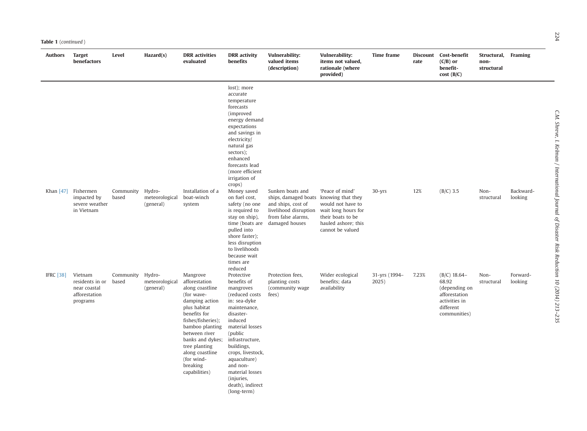|  | Table 1 (continued) |
|--|---------------------|
|--|---------------------|

| <b>Authors</b>   | <b>Target</b><br>benefactors                                            | Level              | Hazard(s)                             | <b>DRR</b> activities<br>evaluated                                                                                                                                                                                                                                        | <b>DRR</b> activity<br>benefits                                                                                                                                                                                                                                                                      | <b>Vulnerability:</b><br>valued items<br>(description)                                                                          | <b>Vulnerability:</b><br>items not valued,<br>rationale (where<br>provided)                                                                      | <b>Time frame</b>      | rate  | Discount Cost-benefit<br>$(C/B)$ or<br>benefit-<br>cost(B/C)                                            | Structural, Framing<br>non-<br>structural |                      |
|------------------|-------------------------------------------------------------------------|--------------------|---------------------------------------|---------------------------------------------------------------------------------------------------------------------------------------------------------------------------------------------------------------------------------------------------------------------------|------------------------------------------------------------------------------------------------------------------------------------------------------------------------------------------------------------------------------------------------------------------------------------------------------|---------------------------------------------------------------------------------------------------------------------------------|--------------------------------------------------------------------------------------------------------------------------------------------------|------------------------|-------|---------------------------------------------------------------------------------------------------------|-------------------------------------------|----------------------|
|                  |                                                                         |                    |                                       |                                                                                                                                                                                                                                                                           | lost); more<br>accurate<br>temperature<br>forecasts<br>(improved<br>energy demand<br>expectations<br>and savings in<br>electricity/<br>natural gas<br>sectors);<br>enhanced<br>forecasts lead<br>(more efficient<br>irrigation of<br>crops)                                                          |                                                                                                                                 |                                                                                                                                                  |                        |       |                                                                                                         |                                           |                      |
| Khan $[47]$      | Fishermen<br>impacted by<br>severe weather<br>in Vietnam                | Community<br>based | Hydro-<br>meteorological<br>(general) | Installation of a<br>boat-winch<br>system                                                                                                                                                                                                                                 | Money saved<br>on fuel cost,<br>safety (no one<br>is required to<br>stay on ship),<br>time (boats are<br>pulled into<br>shore faster);<br>less disruption<br>to livelihoods<br>because wait<br>times are<br>reduced                                                                                  | Sunken boats and<br>ships, damaged boats<br>and ships, cost of<br>livelihood disruption<br>from false alarms,<br>damaged houses | 'Peace of mind'<br>knowing that they<br>would not have to<br>wait long hours for<br>their boats to be<br>hauled ashore; this<br>cannot be valued | $30 - yrs$             | 12%   | $(B/C)$ 3.5                                                                                             | Non-<br>structural                        | Backward-<br>looking |
| <b>IFRC</b> [38] | Vietnam<br>residents in or<br>near coastal<br>afforestation<br>programs | Community<br>based | Hydro-<br>meteorological<br>(general) | Mangrove<br>afforestation<br>along coastline<br>(for wave-<br>damping action<br>plus habitat<br>benefits for<br>fishes/fisheries);<br>bamboo planting<br>between river<br>banks and dykes;<br>tree planting<br>along coastline<br>(for wind-<br>breaking<br>capabilities) | Protective<br>benefits of<br>mangroves<br>(reduced costs<br>in: sea-dyke<br>maintenance,<br>disaster-<br>induced<br>material losses<br>(public<br>infrastructure,<br>buildings,<br>crops, livestock,<br>aquaculture)<br>and non-<br>material losses<br>(injuries,<br>death), indirect<br>(long-term) | Protection fees,<br>planting costs<br>(community wage<br>fees)                                                                  | Wider ecological<br>benefits; data<br>availability                                                                                               | 31-yrs (1994-<br>2025) | 7.23% | $(B/C)$ 18.64-<br>68.92<br>(depending on<br>afforestation<br>activities in<br>different<br>communities) | Non-<br>structural                        | Forward-<br>looking  |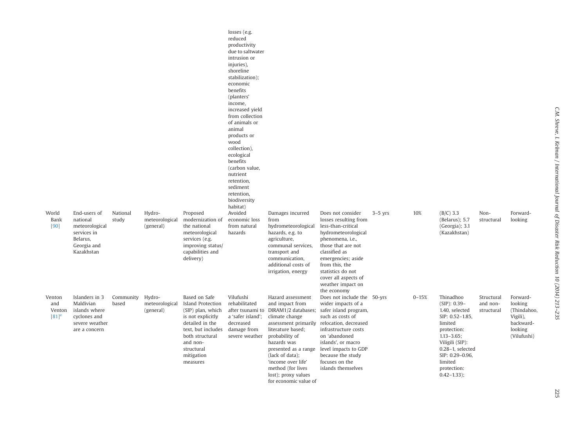<span id="page-13-0"></span>

|                                                |                                                                                                    |                    |                                       |                                                                                                                                                                                                     | losses (e.g.<br>reduced<br>productivity<br>due to saltwater<br>intrusion or<br>injuries),<br>shoreline<br>stabilization);<br>economic<br>benefits<br>(planters'<br>income,<br>increased yield<br>from collection<br>of animals or<br>animal<br>products or<br>wood<br>collection),<br>ecological<br>benefits<br>(carbon value,<br>nutrient<br>retention,<br>sediment<br>retention,<br>biodiversity<br>habitat) |                                                                                                                                                                                                                                                                                                   |                                                                                                                                                                                                                                                                             |           |           |                                                                                                                                                                                                                         |                                      |                                                                                       |
|------------------------------------------------|----------------------------------------------------------------------------------------------------|--------------------|---------------------------------------|-----------------------------------------------------------------------------------------------------------------------------------------------------------------------------------------------------|----------------------------------------------------------------------------------------------------------------------------------------------------------------------------------------------------------------------------------------------------------------------------------------------------------------------------------------------------------------------------------------------------------------|---------------------------------------------------------------------------------------------------------------------------------------------------------------------------------------------------------------------------------------------------------------------------------------------------|-----------------------------------------------------------------------------------------------------------------------------------------------------------------------------------------------------------------------------------------------------------------------------|-----------|-----------|-------------------------------------------------------------------------------------------------------------------------------------------------------------------------------------------------------------------------|--------------------------------------|---------------------------------------------------------------------------------------|
| World<br>Bank<br>$[90]$                        | End-users of<br>national<br>meteorological<br>services in<br>Belarus,<br>Georgia and<br>Kazakhstan | National<br>study  | Hydro-<br>meteorological<br>(general) | Proposed<br>modernization of<br>the national<br>meteorological<br>services (e.g.<br>improving status/<br>capabilities and<br>delivery)                                                              | Avoided<br>economic loss<br>from natural<br>hazards                                                                                                                                                                                                                                                                                                                                                            | Damages incurred<br>from<br>hydrometeorological<br>hazards, e.g. to<br>agriculture,<br>communal services,<br>transport and<br>communication,<br>additional costs of<br>irrigation, energy                                                                                                         | Does not consider<br>losses resulting from<br>less-than-critical<br>hydrometeorological<br>phenomena, i.e.,<br>those that are not<br>classified as<br>emergencies; aside<br>from this, the<br>statistics do not<br>cover all aspects of<br>weather impact on<br>the economy | $3-5$ yrs | 10%       | $(B/C)$ 3.3<br>(Belarus); 5.7<br>(Georgia); 3.1<br>(Kazakhstan)                                                                                                                                                         | Non-<br>structural                   | Forward-<br>looking                                                                   |
| Venton<br>and<br>Venton<br>$[81]$ <sup>e</sup> | Islanders in 3<br>Maldivian<br>islands where<br>cyclones and<br>severe weather<br>are a concern    | Community<br>based | Hydro-<br>meteorological<br>(general) | Based on Safe<br><b>Island Protection</b><br>(SIP) plan, which<br>is not explicitly<br>detailed in the<br>text, but includes<br>both structural<br>and non-<br>structural<br>mitigation<br>measures | Vilufushi<br>rehabilitated<br>after tsunami to<br>a 'safer island';<br>decreased<br>damage from<br>severe weather                                                                                                                                                                                                                                                                                              | Hazard assessment<br>and impact from<br>DIRAM1/2 databases;<br>climate change<br>assessment primarily<br>literature based;<br>probability of<br>hazards was<br>presented as a range<br>(lack of data);<br>'income over life'<br>method (for lives<br>lost); proxy values<br>for economic value of | Does not include the 50-yrs<br>wider impacts of a<br>safer island program,<br>such as costs of<br>relocation, decreased<br>infrastructure costs<br>on 'abandoned<br>islands', or macro<br>level impacts to GDP<br>because the study<br>focuses on the<br>islands themselves |           | $0 - 15%$ | Thinadhoo<br>$(SIP): 0.39-$<br>1.40, selected<br>SIP: 0.52-1.85,<br>limited<br>protection:<br>$1.13 - 3.65$ ;<br>Viligili (SIP):<br>$0.28-1$ , selected<br>SIP: 0.29-0.96,<br>limited<br>protection:<br>$0.42 - 1.33$ : | Structural<br>and non-<br>structural | Forward-<br>looking<br>(Thindahoo,<br>Vigili),<br>backward-<br>looking<br>(Vilufushi) |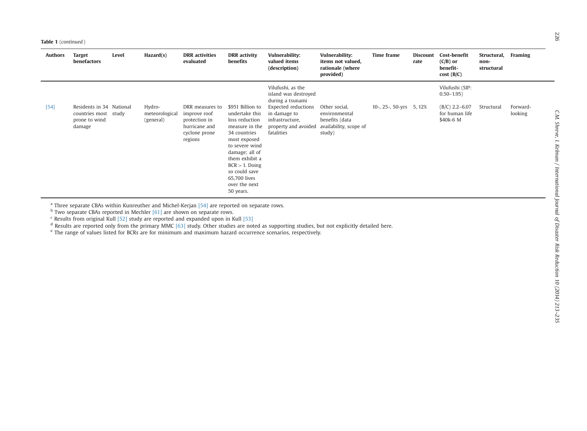<span id="page-14-0"></span>Table 1 (*continued* )

| <b>Authors</b> | <b>Target</b><br>benefactors                                                | Level | Hazard(s)                             | <b>DRR</b> activities<br>evaluated                                                            | <b>DRR</b> activity<br>benefits                                                                                                                                                                                                                  | Vulnerability:<br>valued items<br>(description)                                                                                                                      | <b>Vulnerability:</b><br>items not valued,<br>rationale (where<br>provided)          | Time frame              | Discount<br>rate | Cost-benefit<br>$(C/B)$ or<br>benefit-<br>cost(B/C)                                 | Structural,<br>non-<br>structural | Framing             |
|----------------|-----------------------------------------------------------------------------|-------|---------------------------------------|-----------------------------------------------------------------------------------------------|--------------------------------------------------------------------------------------------------------------------------------------------------------------------------------------------------------------------------------------------------|----------------------------------------------------------------------------------------------------------------------------------------------------------------------|--------------------------------------------------------------------------------------|-------------------------|------------------|-------------------------------------------------------------------------------------|-----------------------------------|---------------------|
| $[54]$         | Residents in 34 National<br>countries most study<br>prone to wind<br>damage |       | Hydro-<br>meteorological<br>(general) | DRR measures to<br>improve roof<br>protection in<br>hurricane and<br>cyclone prone<br>regions | \$951 Billion to<br>undertake this<br>loss reduction<br>measure in the<br>34 countries<br>most exposed<br>to severe wind<br>damage; all of<br>them exhibit a<br>$BCR > 1$ . Doing<br>so could save<br>65,700 lives<br>over the next<br>50 years. | Vilufushi, as the<br>island was destroyed<br>during a tsunami<br><b>Expected reductions</b><br>in damage to<br>infrastructure,<br>property and avoided<br>fatalities | Other social,<br>environmental<br>benefits (data<br>availability, scope of<br>study) | 10-, 25-, 50-yrs 5, 12% |                  | Vilufushi (SIP:<br>$0.50 - 1.95$<br>$(B/C)$ 2.2-6.07<br>for human life<br>\$40k-6 M | Structural                        | Forward-<br>looking |

<sup>a</sup> Three separate CBAs within Kunreuther and Michel-Kerjan [\[54\]](#page-21-0) are reported on separate rows.

<sup>b</sup> Two separate CBAs reported in Mechler [\[61\]](#page-21-0) are shown on separate rows.<br><sup>c</sup> Results from original Kull [\[52\]](#page-21-0) study are reported and expanded upon in Kull [\[53\]](#page-21-0)

<sup>d</sup> Results are reported only from the primary MMC [\[63\]](#page-21-0) study. Other studies are noted as supporting studies, but not explicitly detailed here.

e The range of values listed for BCRs are for minimum and maximum hazard occurrence scenarios, respectively.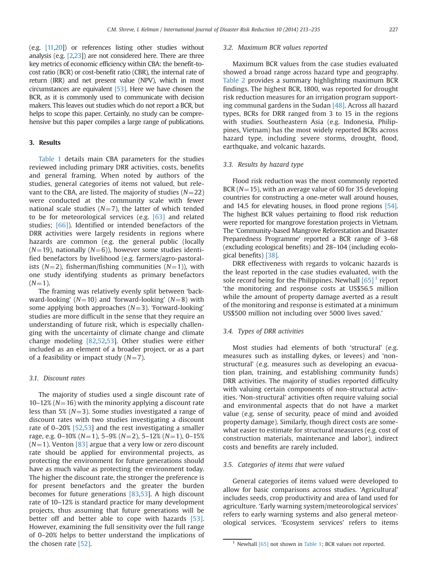(e.g. [\[11,20\]](#page-20-0)) or references listing other studies without analysis (e.g. [\[2](#page-20-0),[23\]](#page-20-0)) are not considered here. There are three key metrics of economic efficiency within CBA: the benefit-tocost ratio (BCR) or cost-benefit ratio (CBR), the internal rate of return (IRR) and net present value (NPV), which in most circumstances are equivalent [\[53\]](#page-21-0). Here we have chosen the BCR, as it is commonly used to communicate with decision makers. This leaves out studies which do not report a BCR, but helps to scope this paper. Certainly, no study can be comprehensive but this paper compiles a large range of publications.

## 3. Results

[Table 1](#page-2-0) details main CBA parameters for the studies reviewed including primary DRR activities, costs, benefits and general framing. When noted by authors of the studies, general categories of items not valued, but relevant to the CBA, are listed. The majority of studies  $(N=22)$ were conducted at the community scale with fewer national scale studies  $(N=7)$ , the latter of which tended to be for meteorological services (e.g. [\[63\]](#page-21-0) and related studies; [\[66\]](#page-21-0)). Identified or intended benefactors of the DRR activities were largely residents in regions where hazards are common (e.g. the general public (locally  $(N=19)$ , nationally  $(N=6)$ ), however some studies identified benefactors by livelihood (e.g. farmers/agro-pastoralists  $(N=2)$ , fisherman/fishing communities  $(N=1)$ ), with one study identifying students as primary benefactors  $(N=1)$ .

The framing was relatively evenly split between 'backward-looking'  $(N=10)$  and 'forward-looking'  $(N=8)$  with some applying both approaches  $(N=3)$ . 'Forward-looking' studies are more difficult in the sense that they require an understanding of future risk, which is especially challenging with the uncertainty of climate change and climate change modeling [\[82](#page-22-0)[,52,53](#page-21-0)]. Other studies were either included as an element of a broader project, or as a part of a feasibility or impact study  $(N=7)$ .

#### *3.1. Discount rates*

The majority of studies used a single discount rate of  $10-12\%$  ( $N=16$ ) with the minority applying a discount rate less than 5% (*N*=3). Some studies investigated a range of discount rates with two studies investigating a discount rate of 0–20% [\[52,53\]](#page-21-0) and the rest investigating a smaller rage, e.g.  $0-10\%$  ( $N=1$ ),  $5-9\%$  ( $N=2$ ),  $5-12\%$  ( $N=1$ ),  $0-15\%$  $(N=1)$ . Venton [\[83\]](#page-22-0) argue that a very low or zero discount rate should be applied for environmental projects, as protecting the environment for future generations should have as much value as protecting the environment today. The higher the discount rate, the stronger the preference is for present benefactors and the greater the burden becomes for future generations [\[83,](#page-22-0)[53](#page-21-0)]. A high discount rate of 10–12% is standard practice for many development projects, thus assuming that future generations will be better off and better able to cope with hazards [\[53\]](#page-21-0). However, examining the full sensitivity over the full range of 0–20% helps to better understand the implications of the chosen rate [\[52\]](#page-21-0).

#### *3.2. Maximum BCR values reported*

Maximum BCR values from the case studies evaluated showed a broad range across hazard type and geography. Table 2 provides a summary highlighting maximum BCR findings. The highest BCR, 1800, was reported for drought risk reduction measures for an irrigation program supporting communal gardens in the Sudan [\[48\].](#page-21-0) Across all hazard types, BCRs for DRR ranged from 3 to 15 in the regions with studies. Southeastern Asia (e.g. Indonesia, Philippines, Vietnam) has the most widely reported BCRs across hazard type, including severe storms, drought, flood, earthquake, and volcanic hazards.

#### *3.3. Results by hazard type*

Flood risk reduction was the most commonly reported BCR  $(N=15)$ , with an average value of 60 for 35 developing countries for constructing a one-meter wall around houses, and 14.5 for elevating houses, in flood prone regions [\[54\]](#page-21-0). The highest BCR values pertaining to flood risk reduction were reported for mangrove forestation projects in Vietnam. The 'Community-based Mangrove Reforestation and Disaster Preparedness Programme' reported a BCR range of 3–68 (excluding ecological benefits) and 28–104 (including ecological benefits) [\[38\]](#page-20-0).

DRR effectiveness with regards to volcanic hazards is the least reported in the case studies evaluated, with the sole record being for the Philippines. Newhall  $[65]$ <sup>[1](#page-14-0)</sup> report 'the monitoring and response costs at US\$56.5 million while the amount of property damage averted as a result of the monitoring and response is estimated at a minimum US\$500 million not including over 5000 lives saved.'

#### *3.4. Types of DRR activities*

Most studies had elements of both 'structural' (e.g. measures such as installing dykes, or levees) and 'nonstructural' (e.g. measures such as developing an evacuation plan, training, and establishing community funds) DRR activities. The majority of studies reported difficulty with valuing certain components of non-structural activities. 'Non-structural' activities often require valuing social and environmental aspects that do not have a market value (e.g. sense of security, peace of mind and avoided property damage). Similarly, though direct costs are somewhat easier to estimate for structural measures (e.g. cost of construction materials, maintenance and labor), indirect costs and benefits are rarely included.

#### *3.5. Categories of items that were valued*

General categories of items valued were developed to allow for basic comparisons across studies. 'Agricultural' includes seeds, crop productivity and area of land used for agriculture. 'Early warning system/meteorological services' refers to early warning systems and also general meteorological services. 'Ecosystem services' refers to items

<sup>&</sup>lt;sup>1</sup> Newhall [\[65\]](#page-21-0) not shown in [Table 1](#page-2-0); BCR values not reported.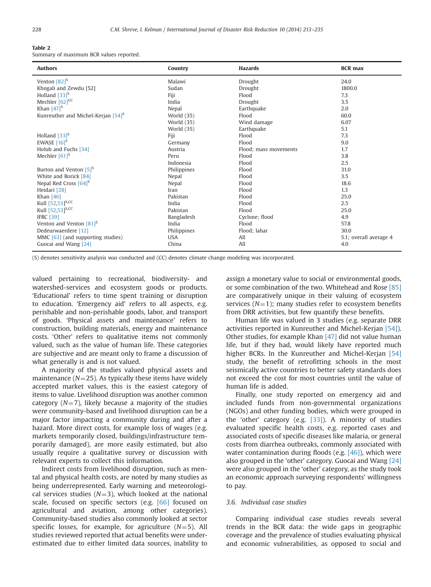#### <span id="page-16-0"></span>Table 2

|  |  | Summary of maximum BCR values reported. |  |  |  |
|--|--|-----------------------------------------|--|--|--|
|--|--|-----------------------------------------|--|--|--|

| <b>Authors</b>                          | Country     | <b>Hazards</b>        | <b>BCR</b> max         |
|-----------------------------------------|-------------|-----------------------|------------------------|
| Venton $[82]$ <sup>S</sup>              | Malawi      | Drought               | 24.0                   |
| Khogali and Zewdu [52]                  | Sudan       | Drought               | 1800.0                 |
| Holland $[33]$ <sup>S</sup>             | Fiji        | Flood                 | 7.3                    |
| Mechler $[62]^{CC}$                     | India       | Drought               | 3.5                    |
| Khan $[47]$ <sup>S</sup>                | Nepal       | Earthquake            | 2.0                    |
| Kunreuther and Michel-Kerjan $[54]^{S}$ | World (35)  | Flood                 | 60.0                   |
|                                         | World (35)  | Wind damage           | 6.07                   |
|                                         | World (35)  | Earthquake            | 5.1                    |
| Holland $[33]$ <sup>S</sup>             | Fiji        | Flood                 | 7.3                    |
| EWASE $[16]$ <sup>S</sup>               | Germany     | Flood                 | 9.0                    |
| Holub and Fuchs [34]                    | Austria     | Flood; mass movements | 1.7                    |
| Mechler $[61]$ <sup>S</sup>             | Peru        | Flood                 | 3.8                    |
|                                         | Indonesia   | Flood                 | 2.5                    |
| Burton and Venton $[5]^{S}$             | Philippines | Flood                 | 31.0                   |
| White and Rorick [84]                   | Nepal       | Flood                 | 3.5                    |
| Nepal Red Cross $[64]$ <sup>S</sup>     | Nepal       | Flood                 | 18.6                   |
| Heidari [28]                            | Iran        | Flood                 | 1.3                    |
| Khan $[46]$                             | Pakistan    | Flood                 | 25.0                   |
| Kull [52,53] <sup>S,CC</sup>            | India       | Flood                 | 2.5                    |
| Kull $[52,53]^{S,CC}$                   | Pakistan    | Flood                 | 25.0                   |
| <b>IFRC</b> [39]                        | Bangladesh  | Cyclone; flood        | 4.9                    |
| Venton and Venton $[81]^{S}$            | India       | Flood                 | 57.8                   |
| Dedeurwaerdere [12]                     | Philippines | Flood; lahar          | 30.0                   |
| MMC [63] (and supporting studies)       | <b>USA</b>  | All                   | 5.1; overall average 4 |
| Guocai and Wang [24]                    | China       | All                   | 4.0                    |

(S) denotes sensitivity analysis was conducted and (CC) denotes climate change modeling was incorporated.

valued pertaining to recreational, biodiversity- and watershed-services and ecosystem goods or products. 'Educational' refers to time spent training or disruption to education. 'Emergency aid' refers to all aspects, e.g. perishable and non-perishable goods, labor, and transport of goods. 'Physical assets and maintenance' refers to construction, building materials, energy and maintenance costs. 'Other' refers to qualitative items not commonly valued, such as the value of human life. These categories are subjective and are meant only to frame a discussion of what generally is and is not valued.

A majority of the studies valued physical assets and maintenance  $(N=25)$ . As typically these items have widely accepted market values, this is the easiest category of items to value. Livelihood disruption was another common category  $(N=7)$ , likely because a majority of the studies were community-based and livelihood disruption can be a major factor impacting a community during and after a hazard. More direct costs, for example loss of wages (e.g. markets temporarily closed, buildings/infrastructure temporarily damaged), are more easily estimated, but also usually require a qualitative survey or discussion with relevant experts to collect this information.

Indirect costs from livelihood disruption, such as mental and physical health costs, are noted by many studies as being underrepresented. Early warning and meteorological services studies  $(N=3)$ , which looked at the national scale, focused on specific sectors (e.g. [\[66\]](#page-21-0) focused on agricultural and aviation, among other categories). Community-based studies also commonly looked at sector specific losses, for example, for agriculture  $(N=5)$ . All studies reviewed reported that actual benefits were underestimated due to either limited data sources, inability to

assign a monetary value to social or environmental goods, or some combination of the two. Whitehead and Rose [\[85\]](#page-22-0) are comparatively unique in their valuing of ecosystem services  $(N=1)$ ; many studies refer to ecosystem benefits from DRR activities, but few quantify these benefits.

Human life was valued in 3 studies (e.g. separate DRR activities reported in Kunreuther and Michel-Kerjan [\[54\]](#page-21-0)). Other studies, for example Khan [\[47\]](#page-21-0) did not value human life, but if they had, would likely have reported much higher BCRs. In the Kunreuther and Michel-Kerjan [\[54\]](#page-21-0) study, the benefit of retrofitting schools in the most seismically active countries to better safety standards does not exceed the cost for most countries until the value of human life is added.

Finally, one study reported on emergency aid and included funds from non-governmental organizations (NGOs) and other funding bodies, which were grouped in the 'other' category (e.g. [\[33\]\)](#page-20-0). A minority of studies evaluated specific health costs, e.g. reported cases and associated costs of specific diseases like malaria, or general costs from diarrhea outbreaks, commonly associated with water contamination during floods (e.g. [\[46\]\)](#page-21-0), which were also grouped in the 'other' category. Guocai and Wang [\[24\]](#page-20-0) were also grouped in the 'other' category, as the study took an economic approach surveying respondents' willingness to pay.

#### *3.6. Individual case studies*

Comparing individual case studies reveals several trends in the BCR data: the wide gaps in geographic coverage and the prevalence of studies evaluating physical and economic vulnerabilities, as opposed to social and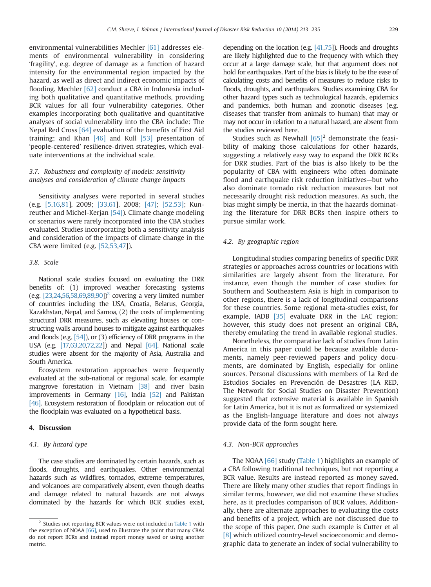environmental vulnerabilities Mechler [\[61\]](#page-21-0) addresses elements of environmental vulnerability in considering 'fragility', e.g. degree of damage as a function of hazard

intensity for the environmental region impacted by the hazard, as well as direct and indirect economic impacts of flooding. Mechler [\[62\]](#page-21-0) conduct a CBA in Indonesia including both qualitative and quantitative methods, providing BCR values for all four vulnerability categories. Other examples incorporating both qualitative and quantitative analyses of social vulnerability into the CBA include: The Nepal Red Cross [\[64\]](#page-21-0) evaluation of the benefits of First Aid training; and Khan [\[46\]](#page-21-0) and Kull [\[53\]](#page-21-0) presentation of 'people-centered' resilience-driven strategies, which evaluate interventions at the individual scale.

## *3.7. Robustness and complexity of models: sensitivity analyses and consideration of climate change impacts*

Sensitivity analyses were reported in several studies (e.g. [\[5,16,](#page-20-0)[81](#page-22-0)], 2009; [\[33](#page-20-0)[,61\]](#page-21-0), 2008; [\[47\];](#page-21-0) [\[52,53\]](#page-21-0); Kunreuther and Michel-Kerjan [\[54\]\)](#page-21-0). Climate change modeling or scenarios were rarely incorporated into the CBA studies evaluated. Studies incorporating both a sensitivity analysis and consideration of the impacts of climate change in the CBA were limited (e.g. [\[52,53,47](#page-21-0)]).

# *3.8. Scale*

National scale studies focused on evaluating the DRR benefits of: (1) improved weather forecasting systems (e.g.  $[23,24,56,58,69,89,90])^2$  $[23,24,56,58,69,89,90])^2$  $[23,24,56,58,69,89,90])^2$  $[23,24,56,58,69,89,90])^2$  $[23,24,56,58,69,89,90])^2$  $[23,24,56,58,69,89,90])^2$  $[23,24,56,58,69,89,90])^2$  covering a very limited number of countries including the USA, Croatia, Belarus, Georgia, Kazakhstan, Nepal, and Samoa, (2) the costs of implementing structural DRR measures, such as elevating houses or constructing walls around houses to mitigate against earthquakes and floods (e.g. [\[54\]\)](#page-21-0), or (3) efficiency of DRR programs in the USA (e.g. [\[17](#page-20-0)[,63](#page-21-0)[,20](#page-20-0)[,72,](#page-21-0)[22](#page-20-0)]) and Nepal [\[64\].](#page-21-0) National scale studies were absent for the majority of Asia, Australia and South America.

Ecosystem restoration approaches were frequently evaluated at the sub-national or regional scale, for example mangrove forestation in Vietnam [\[38\]](#page-20-0) and river basin improvements in Germany [\[16\],](#page-20-0) India [\[52\]](#page-21-0) and Pakistan [\[46\]](#page-21-0). Ecosystem restoration of floodplain or relocation out of the floodplain was evaluated on a hypothetical basis.

# 4. Discussion

#### *4.1. By hazard type*

The case studies are dominated by certain hazards, such as floods, droughts, and earthquakes. Other environmental hazards such as wildfires, tornados, extreme temperatures, and volcanoes are comparatively absent, even though deaths and damage related to natural hazards are not always dominated by the hazards for which BCR studies exist, depending on the location (e.g. [\[41,75](#page-21-0)]). Floods and droughts are likely highlighted due to the frequency with which they occur at a large damage scale, but that argument does not hold for earthquakes. Part of the bias is likely to be the ease of calculating costs and benefits of measures to reduce risks to floods, droughts, and earthquakes. Studies examining CBA for other hazard types such as technological hazards, epidemics and pandemics, both human and zoonotic diseases (e.g. diseases that transfer from animals to human) that may or may not occur in relation to a natural hazard, are absent from the studies reviewed here.

Studies such as Newhall  $[65]$ <sup>2</sup> demonstrate the feasibility of making those calculations for other hazards, suggesting a relatively easy way to expand the DRR BCRs for DRR studies. Part of the bias is also likely to be the popularity of CBA with engineers who often dominate flood and earthquake risk reduction initiatives—but who also dominate tornado risk reduction measures but not necessarily drought risk reduction measures. As such, the bias might simply be inertia, in that the hazards dominating the literature for DRR BCRs then inspire others to pursue similar work.

#### *4.2. By geographic region*

Longitudinal studies comparing benefits of specific DRR strategies or approaches across countries or locations with similarities are largely absent from the literature. For instance, even though the number of case studies for Southern and Southeastern Asia is high in comparison to other regions, there is a lack of longitudinal comparisons for these countries. Some regional meta-studies exist, for example, IADB [\[35\]](#page-20-0) evaluate DRR in the LAC region; however, this study does not present an original CBA, thereby emulating the trend in available regional studies.

Nonetheless, the comparative lack of studies from Latin America in this paper could be because available documents, namely peer-reviewed papers and policy documents, are dominated by English, especially for online sources. Personal discussions with members of La Red de Estudios Sociales en Prevención de Desastres (LA RED, The Network for Social Studies on Disaster Prevention) suggested that extensive material is available in Spanish for Latin America, but it is not as formalized or systemized as the English-language literature and does not always provide data of the form sought here.

#### *4.3. Non-BCR approaches*

The NOAA [\[66\]](#page-21-0) study [\(Table 1\)](#page-2-0) highlights an example of a CBA following traditional techniques, but not reporting a BCR value. Results are instead reported as money saved. There are likely many other studies that report findings in similar terms, however, we did not examine these studies here, as it precludes comparison of BCR values. Additionally, there are alternate approaches to evaluating the costs and benefits of a project, which are not discussed due to the scope of this paper. One such example is Cutter et al [\[8\]](#page-20-0) which utilized country-level socioeconomic and demographic data to generate an index of social vulnerability to

<sup>&</sup>lt;sup>2</sup> Studies not reporting BCR values were not included in [Table 1](#page-2-0) with the exception of NOAA [\[66\]](#page-21-0), used to illustrate the point that many CBAs do not report BCRs and instead report money saved or using another metric.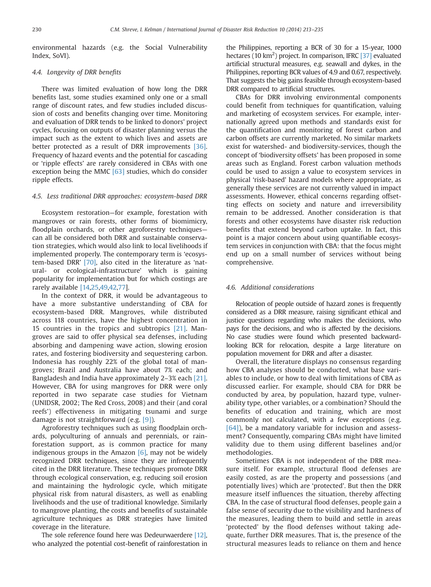environmental hazards (e.g. the Social Vulnerability Index, SoVI).

#### *4.4. Longevity of DRR benefits*

There was limited evaluation of how long the DRR benefits last, some studies examined only one or a small range of discount rates, and few studies included discussion of costs and benefits changing over time. Monitoring and evaluation of DRR tends to be linked to donors' project cycles, focusing on outputs of disaster planning versus the impact such as the extent to which lives and assets are better protected as a result of DRR improvements [\[36\]](#page-20-0). Frequency of hazard events and the potential for cascading or 'ripple effects' are rarely considered in CBAs with one exception being the MMC [\[63\]](#page-21-0) studies, which do consider ripple effects.

#### *4.5. Less traditional DRR approaches: ecosystem-based DRR*

Ecosystem restoration—for example, forestation with mangroves or rain forests, other forms of biomimicry, floodplain orchards, or other agroforestry techniques can all be considered both DRR and sustainable conservation strategies, which would also link to local livelihoods if implemented properly. The contemporary term is 'ecosystem-based DRR' [\[70\]](#page-21-0), also cited in the literature as 'natural- or ecological-infrastructure' which is gaining popularity for implementation but for which costings are rarely available [\[14,25](#page-20-0)[,49](#page-21-0),[42,77\]](#page-21-0).

In the context of DRR, it would be advantageous to have a more substantive understanding of CBA for ecosystem-based DRR. Mangroves, while distributed across 118 countries, have the highest concentration in 15 countries in the tropics and subtropics [\[21\].](#page-20-0) Mangroves are said to offer physical sea defenses, including absorbing and dampening wave action, slowing erosion rates, and fostering biodiversity and sequestering carbon. Indonesia has roughly 22% of the global total of mangroves; Brazil and Australia have about 7% each; and Bangladesh and India have approximately 2–3% each [\[21\]](#page-20-0). However, CBA for using mangroves for DRR were only reported in two separate case studies for Vietnam (UNIDSR, 2002; The Red Cross, 2008) and their (and coral reefs') effectiveness in mitigating tsunami and surge damage is not straightforward (e.g. [\[9\]](#page-20-0)).

Agroforestry techniques such as using floodplain orchards, polyculturing of annuals and perennials, or rainforestation support, as is common practice for many indigenous groups in the Amazon [\[6\],](#page-20-0) may not be widely recognized DRR techniques, since they are infrequently cited in the DRR literature. These techniques promote DRR through ecological conservation, e.g. reducing soil erosion and maintaining the hydrologic cycle, which mitigate physical risk from natural disasters, as well as enabling livelihoods and the use of traditional knowledge. Similarly to mangrove planting, the costs and benefits of sustainable agriculture techniques as DRR strategies have limited coverage in the literature.

The sole reference found here was Dedeurwaerdere [\[12\]](#page-20-0), who analyzed the potential cost-benefit of rainforestation in

the Philippines, reporting a BCR of 30 for a 15-year, 1000 hectares (10 km<sup>2</sup>) project. In comparison, IFRC [\[37\]](#page-20-0) evaluated artificial structural measures, e.g. seawall and dykes, in the Philippines, reporting BCR values of 4.9 and 0.67, respectively. That suggests the big gains feasible through ecosystem-based DRR compared to artificial structures.

CBAs for DRR involving environmental components could benefit from techniques for quantification, valuing and marketing of ecosystem services. For example, internationally agreed upon methods and standards exist for the quantification and monitoring of forest carbon and carbon offsets are currently marketed. No similar markets exist for watershed- and biodiversity-services, though the concept of 'biodiversity offsets' has been proposed in some areas such as England. Forest carbon valuation methods could be used to assign a value to ecosystem services in physical 'risk-based' hazard models where appropriate, as generally these services are not currently valued in impact assessments. However, ethical concerns regarding offsetting effects on society and nature and irreversibility remain to be addressed. Another consideration is that forests and other ecosystems have disaster risk reduction benefits that extend beyond carbon uptake. In fact, this point is a major concern about using quantifiable ecosystem services in conjunction with CBA: that the focus might end up on a small number of services without being comprehensive.

# *4.6. Additional considerations*

Relocation of people outside of hazard zones is frequently considered as a DRR measure, raising significant ethical and justice questions regarding who makes the decisions, who pays for the decisions, and who is affected by the decisions. No case studies were found which presented backwardlooking BCR for relocation, despite a large literature on population movement for DRR and after a disaster.

Overall, the literature displays no consensus regarding how CBA analyses should be conducted, what base variables to include, or how to deal with limitations of CBA as discussed earlier. For example, should CBA for DRR be conducted by area, by population, hazard type, vulnerability type, other variables, or a combination? Should the benefits of education and training, which are most commonly not calculated, with a few exceptions (e.g. [\[64\]\)](#page-21-0), be a mandatory variable for inclusion and assessment? Consequently, comparing CBAs might have limited validity due to them using different baselines and/or methodologies.

Sometimes CBA is not independent of the DRR measure itself. For example, structural flood defenses are easily costed, as are the property and possessions (and potentially lives) which are 'protected'. But then the DRR measure itself influences the situation, thereby affecting CBA. In the case of structural flood defenses, people gain a false sense of security due to the visibility and hardness of the measures, leading them to build and settle in areas 'protected' by the flood defenses without taking adequate, further DRR measures. That is, the presence of the structural measures leads to reliance on them and hence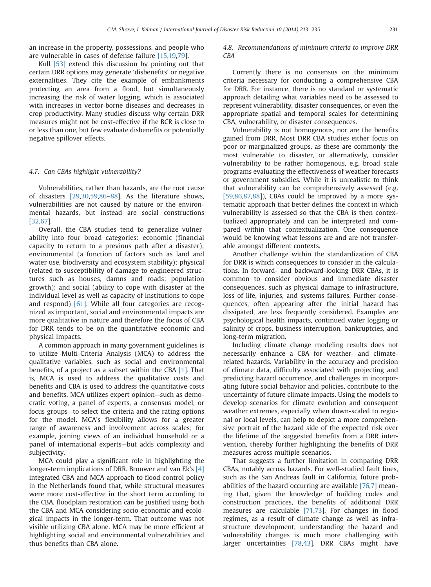an increase in the property, possessions, and people who are vulnerable in cases of defense failure [\[15,19](#page-20-0)[,79\]](#page-21-0).

Kull [\[53\]](#page-21-0) extend this discussion by pointing out that certain DRR options may generate 'disbenefits' or negative externalities. They cite the example of embankments protecting an area from a flood, but simultaneously increasing the risk of water logging, which is associated with increases in vector-borne diseases and decreases in crop productivity. Many studies discuss why certain DRR measures might not be cost-effective if the BCR is close to or less than one, but few evaluate disbenefits or potentially negative spillover effects.

#### *4.7. Can CBAs highlight vulnerability?*

Vulnerabilities, rather than hazards, are the root cause of disasters [\[29,30](#page-20-0),[59](#page-21-0)[,86](#page-22-0)–[88\]](#page-22-0). As the literature shows, vulnerabilities are not caused by nature or the environmental hazards, but instead are social constructions [\[32](#page-20-0)[,67\]](#page-21-0).

Overall, the CBA studies tend to generalize vulnerability into four broad categories: economic (financial capacity to return to a previous path after a disaster); environmental (a function of factors such as land and water use, biodiversity and ecosystem stability); physical (related to susceptibility of damage to engineered structures such as houses, damns and roads; population growth); and social (ability to cope with disaster at the individual level as well as capacity of institutions to cope and respond) [\[61\].](#page-21-0) While all four categories are recognized as important, social and environmental impacts are more qualitative in nature and therefore the focus of CBA for DRR tends to be on the quantitative economic and physical impacts.

A common approach in many government guidelines is to utilize Multi-Criteria Analysis (MCA) to address the qualitative variables, such as social and environmental benefits, of a project as a subset within the CBA [\[1\]](#page-20-0). That is, MCA is used to address the qualitative costs and benefits and CBA is used to address the quantitative costs and benefits. MCA utilizes expert opinion—such as democratic voting, a panel of experts, a consensus model, or focus groups—to select the criteria and the rating options for the model. MCA's flexibility allows for a greater range of awareness and involvement across scales; for example, joining views of an individual household or a panel of international experts—but adds complexity and subjectivity.

MCA could play a significant role in highlighting the longer-term implications of DRR. Brouwer and van Ek's [\[4\]](#page-20-0) integrated CBA and MCA approach to flood control policy in the Netherlands found that, while structural measures were more cost-effective in the short term according to the CBA, floodplain restoration can be justified using both the CBA and MCA considering socio-economic and ecological impacts in the longer-term. That outcome was not visible utilizing CBA alone. MCA may be more efficient at highlighting social and environmental vulnerabilities and thus benefits than CBA alone.

#### *4.8. Recommendations of minimum criteria to improve DRR CBA*

Currently there is no consensus on the minimum criteria necessary for conducting a comprehensive CBA for DRR. For instance, there is no standard or systematic approach detailing what variables need to be assessed to represent vulnerability, disaster consequences, or even the appropriate spatial and temporal scales for determining CBA, vulnerability, or disaster consequences.

Vulnerability is not homogenous, nor are the benefits gained from DRR. Most DRR CBA studies either focus on poor or marginalized groups, as these are commonly the most vulnerable to disaster, or alternatively, consider vulnerability to be rather homogenous, e.g. broad scale programs evaluating the effectiveness of weather forecasts or government subsidies. While it is unrealistic to think that vulnerability can be comprehensively assessed (e.g. [\[59](#page-21-0)[,86,87](#page-22-0),[88](#page-22-0)]), CBAs could be improved by a more systematic approach that better defines the context in which vulnerability is assessed so that the CBA is then contextualized appropriately and can be interpreted and compared within that contextualization. One consequence would be knowing what lessons are and are not transferable amongst different contexts.

Another challenge within the standardization of CBA for DRR is which consequences to consider in the calculations. In forward- and backward-looking DRR CBAs, it is common to consider obvious and immediate disaster consequences, such as physical damage to infrastructure, loss of life, injuries, and systems failures. Further consequences, often appearing after the initial hazard has dissipated, are less frequently considered. Examples are psychological health impacts, continued water logging or salinity of crops, business interruption, bankruptcies, and long-term migration.

Including climate change modeling results does not necessarily enhance a CBA for weather- and climaterelated hazards. Variability in the accuracy and precision of climate data, difficulty associated with projecting and predicting hazard occurrence, and challenges in incorporating future social behavior and policies, contribute to the uncertainty of future climate impacts. Using the models to develop scenarios for climate evolution and consequent weather extremes, especially when down-scaled to regional or local levels, can help to depict a more comprehensive portrait of the hazard side of the expected risk over the lifetime of the suggested benefits from a DRR intervention, thereby further highlighting the benefits of DRR measures across multiple scenarios.

That suggests a further limitation in comparing DRR CBAs, notably across hazards. For well-studied fault lines, such as the San Andreas fault in California, future probabilities of the hazard occurring are available [\[76,](#page-21-0)[7](#page-20-0)] meaning that, given the knowledge of building codes and construction practices, the benefits of additional DRR measures are calculable [\[71,73\]](#page-21-0). For changes in flood regimes, as a result of climate change as well as infrastructure development, understanding the hazard and vulnerability changes is much more challenging with larger uncertainties [\[78,43\]](#page-21-0). DRR CBAs might have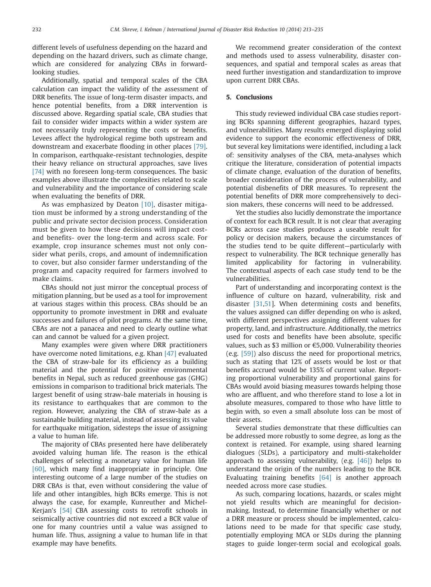<span id="page-20-0"></span>different levels of usefulness depending on the hazard and depending on the hazard drivers, such as climate change, which are considered for analyzing CBAs in forwardlooking studies.

Additionally, spatial and temporal scales of the CBA calculation can impact the validity of the assessment of DRR benefits. The issue of long-term disaster impacts, and hence potential benefits, from a DRR intervention is discussed above. Regarding spatial scale, CBA studies that fail to consider wider impacts within a wider system are not necessarily truly representing the costs or benefits. Levees affect the hydrological regime both upstream and downstream and exacerbate flooding in other places [\[79\]](#page-21-0). In comparison, earthquake-resistant technologies, despite their heavy reliance on structural approaches, save lives [\[74\]](#page-21-0) with no foreseen long-term consequences. The basic examples above illustrate the complexities related to scale and vulnerability and the importance of considering scale when evaluating the benefits of DRR.

As was emphasized by Deaton [10], disaster mitigation must be informed by a strong understanding of the public and private sector decision process. Consideration must be given to how these decisions will impact costand benefits- over the long-term and across scale. For example, crop insurance schemes must not only consider what perils, crops, and amount of indemnification to cover, but also consider farmer understanding of the program and capacity required for farmers involved to make claims.

CBAs should not just mirror the conceptual process of mitigation planning, but be used as a tool for improvement at various stages within this process. CBAs should be an opportunity to promote investment in DRR and evaluate successes and failures of pilot programs. At the same time, CBAs are not a panacea and need to clearly outline what can and cannot be valued for a given project.

Many examples were given where DRR practitioners have overcome noted limitations, e.g. Khan [\[47\]](#page-21-0) evaluated the CBA of straw-bale for its efficiency as a building material and the potential for positive environmental benefits in Nepal, such as reduced greenhouse gas (GHG) emissions in comparison to traditional brick materials. The largest benefit of using straw-bale materials in housing is its resistance to earthquakes that are common to the region. However, analyzing the CBA of straw-bale as a sustainable building material, instead of assessing its value for earthquake mitigation, sidesteps the issue of assigning a value to human life.

The majority of CBAs presented here have deliberately avoided valuing human life. The reason is the ethical challenges of selecting a monetary value for human life [\[60\]](#page-21-0), which many find inappropriate in principle. One interesting outcome of a large number of the studies on DRR CBAs is that, even without considering the value of life and other intangibles, high BCRs emerge. This is not always the case, for example, Kunreuther and Michel-Kerjan's [\[54\]](#page-21-0) CBA assessing costs to retrofit schools in seismically active countries did not exceed a BCR value of one for many countries until a value was assigned to human life. Thus, assigning a value to human life in that example may have benefits.

We recommend greater consideration of the context and methods used to assess vulnerability, disaster consequences, and spatial and temporal scales as areas that need further investigation and standardization to improve upon current DRR CBAs.

#### 5. Conclusions

This study reviewed individual CBA case studies reporting BCRs spanning different geographies, hazard types, and vulnerabilities. Many results emerged displaying solid evidence to support the economic effectiveness of DRR, but several key limitations were identified, including a lack of: sensitivity analyses of the CBA, meta-analyses which critique the literature, consideration of potential impacts of climate change, evaluation of the duration of benefits, broader consideration of the process of vulnerability, and potential disbenefits of DRR measures. To represent the potential benefits of DRR more comprehensively to decision makers, these concerns will need to be addressed.

Yet the studies also lucidly demonstrate the importance of context for each BCR result. It is not clear that averaging BCRs across case studies produces a useable result for policy or decision makers, because the circumstances of the studies tend to be quite different—particularly with respect to vulnerability. The BCR technique generally has limited applicability for factoring in vulnerability. The contextual aspects of each case study tend to be the vulnerabilities.

Part of understanding and incorporating context is the influence of culture on hazard, vulnerability, risk and disaster [31[,51](#page-21-0)]. When determining costs and benefits, the values assigned can differ depending on who is asked, with different perspectives assigning different values for property, land, and infrastructure. Additionally, the metrics used for costs and benefits have been absolute, specific values, such as \$3 million or €5,000. Vulnerability theories (e.g. [\[59\]](#page-21-0)) also discuss the need for proportional metrics, such as stating that 12% of assets would be lost or that benefits accrued would be 135% of current value. Reporting proportional vulnerability and proportional gains for CBAs would avoid biasing measures towards helping those who are affluent, and who therefore stand to lose a lot in absolute measures, compared to those who have little to begin with, so even a small absolute loss can be most of their assets.

Several studies demonstrate that these difficulties can be addressed more robustly to some degree, as long as the context is retained. For example, using shared learning dialogues (SLDs), a participatory and multi-stakeholder approach to assessing vulnerability,  $(e.g. [46])$  $(e.g. [46])$  $(e.g. [46])$  helps to understand the origin of the numbers leading to the BCR. Evaluating training benefits [\[64\]](#page-21-0) is another approach needed across more case studies.

As such, comparing locations, hazards, or scales might not yield results which are meaningful for decisionmaking. Instead, to determine financially whether or not a DRR measure or process should be implemented, calculations need to be made for that specific case study, potentially employing MCA or SLDs during the planning stages to guide longer-term social and ecological goals.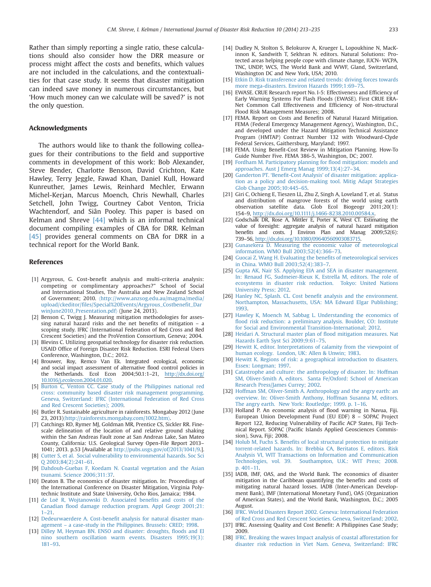<span id="page-21-0"></span>Rather than simply reporting a single ratio, these calculations should also consider how the DRR measure or process might affect the costs and benefits, which values are not included in the calculations, and the contextualities for that case study. It seems that disaster mitigation can indeed save money in numerous circumstances, but 'How much money can we calculate will be saved?' is not the only question.

#### Acknowledgments

The authors would like to thank the following colleagues for their contributions to the field and supportive comments in development of this work: Bob Alexander, Steve Bender, Charlotte Benson, David Crichton, Kate Hawley, Terry Jeggle, Fawad Khan, Daniel Kull, Howard Kunreuther, James Lewis, Reinhard Mechler, Erwann Michel-Kerjan, Marcus Moench, Chris Newhall, Charles Setchell, John Twigg, Courtney Cabot Venton, Tricia Wachtendorf, and Siân Pooley. This paper is based on Kelman and Shreve [44] which is an informal technical document compiling examples of CBA for DRR. Kelman [45] provides general comments on CBA for DRR in a technical report for the World Bank.

#### References

- [1] Argyrous, G. Cost-benefit analysis and multi-criteria analysis: competing or complimentary approaches?" School of Social and International Studies, The Australia and New Zealand School of Government; 2010. 〈[http://www.anzsog.edu.au/magma/media/](http://www.anzsog.edu.au/magma/media/upload/ckeditor/files/Special%20Events/Argyrous_Costbenefit_DarwinJune2010_Presentation.pdf) [upload/ckeditor/files/Special%20Events/Argyrous\\_Costbenefit\\_Dar](http://www.anzsog.edu.au/magma/media/upload/ckeditor/files/Special%20Events/Argyrous_Costbenefit_DarwinJune2010_Presentation.pdf) [winJune2010\\_Presentation.pdf](http://www.anzsog.edu.au/magma/media/upload/ckeditor/files/Special%20Events/Argyrous_Costbenefit_DarwinJune2010_Presentation.pdf)〉 (June 24, 2013).
- [2] Benson C, Twigg J. Measuring mitigation methodologies for assessing natural hazard risks and the net benefits of mitigation – a scoping study. IFRC (International Federation of Red Cross and Red Crescent Societies) and the ProVention Consortium, Geneva; 2004.
- [3] Blevins C. Utilizing geospatial technology for disaster risk reduction. USAID Office of Foreign Disaster Risk Reduction. ESRI Federal Users Conference, Washington, D.C.; 2012.
- [4] Brouwer, Roy, Remco Van Ek. Integrated ecological, economic and social impact assessment of alternative flood control policies in the Netherlands. Ecol Econ 2004;50.1:1–21, [http://dx.doi.org/](http://dx.doi.org/<mac_doitxt>10.1016/j.ecolecon.2004.01.020) [10.1016/j.ecolecon.2004.01.020.](http://dx.doi.org/<mac_doitxt>10.1016/j.ecolecon.2004.01.020)
- [5] [Burton C, Venton CC. Case study of the Philippines national red](http://refhub.elsevier.com/S2212-4209(14)00066-1/sbref0005) [cross: community based disaster risk management programming.](http://refhub.elsevier.com/S2212-4209(14)00066-1/sbref0005) [Geneva, Switzerland: IFRC \(International Federation of Red Cross](http://refhub.elsevier.com/S2212-4209(14)00066-1/sbref0005) [and Red Crescent Societies\); 2009.](http://refhub.elsevier.com/S2212-4209(14)00066-1/sbref0005)
- [6] Butler R. Sustainable agriculture in rainforests. Mongabay 2012 (June 23, 2013)〈<http://rainforests.mongabay.com/1002.htm>〉.
- [7] Catchings RD, Rymer MJ, Goldman MR, Prentice CS, Sickler RR. Finescale delineation of the location of and relative ground shaking within the San Andreas Fault zone at San Andreas Lake, San Mateo County, California: U.S. Geological Survey Open-File Report 2013– 1041; 2013. p.53 [Available at [http://pubs.usgs.gov/of/2013/1041/9.](http://pubs.usgs.gov/of/2013/1041/9)].
- [8] [Cutter S, et al. Social vulnerability to environmental hazards. Soc Sci](http://refhub.elsevier.com/S2212-4209(14)00066-1/sbref0015) [Q 2003;84\(2\):241](http://refhub.elsevier.com/S2212-4209(14)00066-1/sbref0015)–61.
- [9] [Dahdouh-Guebas F, Koedam N. Coastal vegetation and the Asian](http://refhub.elsevier.com/S2212-4209(14)00066-1/sbref0020) [tsunami. Science 2006;311:37.](http://refhub.elsevier.com/S2212-4209(14)00066-1/sbref0020)
- [10] Deaton B. The economics of disaster mitigation. In: Proceedings of the International Conference on Disaster Mitigation, Virginia Polytechnic Institute and State University, Ocho Rios, Jamaica; 1984.
- [11] [de Loë R, Wojtanowski D. Associated benefits and costs of the](http://refhub.elsevier.com/S2212-4209(14)00066-1/sbref0025) [Canadian flood damage reduction program. Appl Geogr 2001;21:](http://refhub.elsevier.com/S2212-4209(14)00066-1/sbref0025) 1–[21.](http://refhub.elsevier.com/S2212-4209(14)00066-1/sbref0025)
- [12] [Dedeurwaerdere A. Cost-benefit analysis for natural disaster man](http://refhub.elsevier.com/S2212-4209(14)00066-1/sbref0030)agement – [a case-study in the Philippines. Brussels: CRED; 1998.](http://refhub.elsevier.com/S2212-4209(14)00066-1/sbref0030)
- [13] [Dilley M, Heyman BN. ENSO and disaster: droughts, floods and El](http://refhub.elsevier.com/S2212-4209(14)00066-1/sbref0035) [nino southern oscillation warm events. Disasters 1995;19\(3\):](http://refhub.elsevier.com/S2212-4209(14)00066-1/sbref0035) [181](http://refhub.elsevier.com/S2212-4209(14)00066-1/sbref0035)–93.
- [14] Dudley N, Stolton S, Belokurov A, Krueger L, Lopoukhine N, MacKinnon K, Sandwith T, Sekhran N. editors. Natural Solutions: Protected areas helping people cope with climate change, IUCN- WCPA, TNC, UNDP, WCS, The World Bank and WWF, Gland, Switzerland, Washington DC and New York, USA; 2010.
- [15] [Etkin D. Risk transference and related trends: driving forces towards](http://refhub.elsevier.com/S2212-4209(14)00066-1/sbref0040) [more mega-disasters. Environ Hazards 1999;1:69](http://refhub.elsevier.com/S2212-4209(14)00066-1/sbref0040)–75.
- [16] EWASE. CRUE Research report No. I-5: Effectiveness and Efficiency of Early Warning Systems For Flash Floods (EWASE). First CRUE ERA-Net Common Call Effectiveness and Efficiency of Non-structural Flood Risk Management Measures; 2008.
- [17] FEMA. Report on Costs and Benefits of Natural Hazard Mitigation. FEMA (Federal Emergency Management Agency), Washington, D.C., and developed under the Hazard Mitigation Technical Assistance Program (HMTAP) Contract Number 132 with Woodward-Clyde Federal Services, Gaithersburg, Maryland; 1997.
- [18] FEMA. Using Benefit-Cost Review in Mitigation Planning. How-To Guide Number Five. FEMA 386-5, Washington, DC; 2007.
- [19] [Fordham M. Participatory planning for flood mitigation: models and](http://refhub.elsevier.com/S2212-4209(14)00066-1/sbref0045) [approaches. Aust J Emerg Manag 1999;13\(4\):27](http://refhub.elsevier.com/S2212-4209(14)00066-1/sbref0045)–34.
- [20] Ganderton PT. 'Benefit-Cost Analysis' [of disaster mitigation: applica](http://refhub.elsevier.com/S2212-4209(14)00066-1/sbref0050)[tion as a policy and decision-making tool. Mitig Adapt Strategies](http://refhub.elsevier.com/S2212-4209(14)00066-1/sbref0050) [Glob Change 2005;10:445](http://refhub.elsevier.com/S2212-4209(14)00066-1/sbref0050)–65.
- [21] Giri C, Ochieng E, Tieszen LL, Zhu Z, Singh A, Loveland T, et al. Status and distribution of mangrove forests of the world using earth observation satellite data. Glob Ecol Biogeogr 2011;20(1): 154–9, <http://dx.doi.org/10.1111/j.1466-8238.2010.00584.x>.
- [22] Godschalk DR, Rose A, Mittler E, Porter K, West CT, Estimating the value of foresight: aggregate analysis of natural hazard mitigation benefits and costs. J Environ Plan and Manag 2009;52(6): 739–56, <http://dx.doi.org/10.1080/09640560903083715>.
- [23] [Gunasekera D. Measuring the economic value of meteorological](http://refhub.elsevier.com/S2212-4209(14)00066-1/sbref0065) [information. WMO Bull 2003;52\(4\):366](http://refhub.elsevier.com/S2212-4209(14)00066-1/sbref0065)–73.
- [24] [Guocai Z, Wang H. Evaluating the benefits of meteorological services](http://refhub.elsevier.com/S2212-4209(14)00066-1/sbref0070) [in China. WMO Bull 2003;52\(4\):383](http://refhub.elsevier.com/S2212-4209(14)00066-1/sbref0070)–7.
- [25] [Gupta AK, Nair SS. Applying EIA and SEA in disaster management.](http://refhub.elsevier.com/S2212-4209(14)00066-1/sbref0075) [In: Renaud FG, Sudmeier-Rieux K, Estrella M, editors. The role of](http://refhub.elsevier.com/S2212-4209(14)00066-1/sbref0075) [ecosystems in disaster risk reduction. Tokyo: United Nations](http://refhub.elsevier.com/S2212-4209(14)00066-1/sbref0075) [University Press; 2012.](http://refhub.elsevier.com/S2212-4209(14)00066-1/sbref0075)
- [26] [Hanley NC, Splash. CL. Cost benefit analysis and the environment.](http://refhub.elsevier.com/S2212-4209(14)00066-1/sbref0080) [Northampton, Massachusetts, USA: MA Edward Elgar Publishing;](http://refhub.elsevier.com/S2212-4209(14)00066-1/sbref0080) [1993.](http://refhub.elsevier.com/S2212-4209(14)00066-1/sbref0080)
- [27] [Hawley K, Moench M, Sabbag L. Understanding the economics of](http://refhub.elsevier.com/S2212-4209(14)00066-1/sbref0085) [flood risk reduction: a preliminary analysis. Boulder, CO: Institute](http://refhub.elsevier.com/S2212-4209(14)00066-1/sbref0085) [for Social and Environmental Transition-International; 2012.](http://refhub.elsevier.com/S2212-4209(14)00066-1/sbref0085)
- [28] [Heidari A. Structural master plan of flood mitigation measures. Nat](http://refhub.elsevier.com/S2212-4209(14)00066-1/sbref0090) [Hazards Earth Syst Sci 2009;9:61](http://refhub.elsevier.com/S2212-4209(14)00066-1/sbref0090)–75.
- [29] [Hewitt K, editor. Interpretations of calamity from the viewpoint of](http://refhub.elsevier.com/S2212-4209(14)00066-1/sbref0095) [human ecology. London, UK: Allen](http://refhub.elsevier.com/S2212-4209(14)00066-1/sbref0095) & [Unwin; 1983.](http://refhub.elsevier.com/S2212-4209(14)00066-1/sbref0095)
- [30] [Hewitt K. Regions of risk: a geographical introduction to disasters.](http://refhub.elsevier.com/S2212-4209(14)00066-1/sbref0100) [Essex: Longman; 1997.](http://refhub.elsevier.com/S2212-4209(14)00066-1/sbref0100)
- [31] [Catastrophe and culture: the anthropology of disaster. In: Hoffman](http://refhub.elsevier.com/S2212-4209(14)00066-1/sbref0105) [SM, Oliver-Smith A, editors. Santa Fe/Oxford: School of American](http://refhub.elsevier.com/S2212-4209(14)00066-1/sbref0105) [Research Press/James Currey; 2002.](http://refhub.elsevier.com/S2212-4209(14)00066-1/sbref0105)
- [32] [Hoffman SM, Oliver-Smith A. Anthropology and the angry earth: an](http://refhub.elsevier.com/S2212-4209(14)00066-1/sbref0110) [overview. In: Oliver-Smith Anthony, Hoffman Susanna M, editors.](http://refhub.elsevier.com/S2212-4209(14)00066-1/sbref0110) [The angry earth. New York: Routledge; 1999. p. 1](http://refhub.elsevier.com/S2212-4209(14)00066-1/sbref0110)–16.
- [33] Holland P. An economic analysis of flood warning in Navua, Fiji. European Union Development Fund (EU EDF) 8 – SOPAC Project Report 122, Reducing Vulnerability of Pacific ACP States, Fiji Technical Report. SOPAC (Pacific Islands Applied Geosciences Commission), Suva, Fiji; 2008.
- [34] [Holub M, Fuchs S. Benefits of local structural protection to mitigate](http://refhub.elsevier.com/S2212-4209(14)00066-1/sbref0115) [torrent-related hazards. In: Brebbia CA, Beritatos E, editors. Risk](http://refhub.elsevier.com/S2212-4209(14)00066-1/sbref0115) [Analysis VI, WIT Transactions on Information and Communication](http://refhub.elsevier.com/S2212-4209(14)00066-1/sbref0115) Technologies, vol. 39. Southampton, U.K.: WIT Press; 2008. Southampton, U.K.: WIT Press; 2008. [p. 401](http://refhub.elsevier.com/S2212-4209(14)00066-1/sbref0115)–11.
- [35] IADB, IMF, OAS, and the World Bank. The economics of disaster mitigation in the Caribbean quantifying the benefits and costs of mitigating natural hazard losses. IADB (Inter-American Development Bank), IMF (International Monetary Fund), OAS (Organization of American States), and the World Bank, Washington, D.C.; 2005 August.
- [36] [IFRC. World Disasters Report 2002. Geneva: International Federation](http://refhub.elsevier.com/S2212-4209(14)00066-1/sbref0120)
- [of Red Cross and Red Crescent Societies. Geneva, Switzerland; 2002.](http://refhub.elsevier.com/S2212-4209(14)00066-1/sbref0120) [37] IFRC. Assessing Quality and Cost Benefit: A Philippines Case Study; 2009.
- [38] [IFRC. Breaking the waves Impact analysis of coastal afforestation for](http://refhub.elsevier.com/S2212-4209(14)00066-1/sbref0125) [disaster risk reduction in Viet Nam. Geneva, Switzerland: IFRC](http://refhub.elsevier.com/S2212-4209(14)00066-1/sbref0125)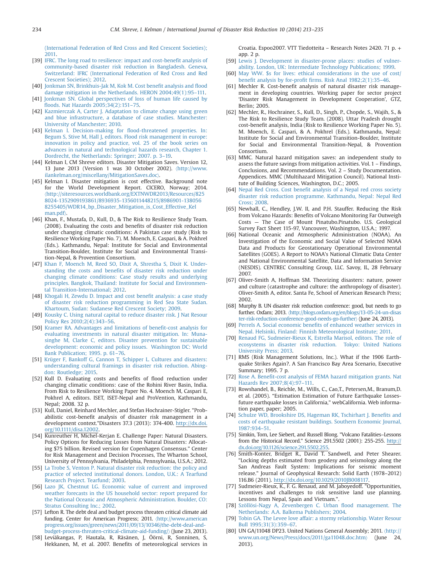<span id="page-22-0"></span>[\(International Federation of Red Cross and Red Crescent Societies\);](http://refhub.elsevier.com/S2212-4209(14)00066-1/sbref0125) [2011.](http://refhub.elsevier.com/S2212-4209(14)00066-1/sbref0125)

- [39] [IFRC. The long road to resilience: impact and cost-benefit analysis of](http://refhub.elsevier.com/S2212-4209(14)00066-1/sbref0130) [community-based disaster risk reduction in Bangladesh. Geneva,](http://refhub.elsevier.com/S2212-4209(14)00066-1/sbref0130) [Switzerland: IFRC \(International Federation of Red Cross and Red](http://refhub.elsevier.com/S2212-4209(14)00066-1/sbref0130) [Crescent Societies\); 2012.](http://refhub.elsevier.com/S2212-4209(14)00066-1/sbref0130)
- [40] [Jonkman SN, Brinkhuis-Jak M, Kok M. Cost benefit analysis and flood](http://refhub.elsevier.com/S2212-4209(14)00066-1/sbref0135) [damage mitigation in the Netherlands. HERON 2004;49\(1\):95](http://refhub.elsevier.com/S2212-4209(14)00066-1/sbref0135)–111.
- [41] [Jonkman SN. Global perspectives of loss of human life caused by](http://refhub.elsevier.com/S2212-4209(14)00066-1/sbref0140) [floods. Nat Hazards 2005;34\(2\):151](http://refhub.elsevier.com/S2212-4209(14)00066-1/sbref0140)–75.
- [42] [Kazmierczak A, Carter J. Adaptation to climate change using green](http://refhub.elsevier.com/S2212-4209(14)00066-1/sbref0145) [and blue infrastructure, a database of case studies. Manchester:](http://refhub.elsevier.com/S2212-4209(14)00066-1/sbref0145) [University of Manchester; 2010.](http://refhub.elsevier.com/S2212-4209(14)00066-1/sbref0145)
- [43] [Kelman I. Decision-making for flood-threatened properties. In:](http://refhub.elsevier.com/S2212-4209(14)00066-1/sbref0150) [Begum S, Stive M, Hall J, editors. Flood risk management in europe:](http://refhub.elsevier.com/S2212-4209(14)00066-1/sbref0150) [innovation in policy and practice, vol. 25 of the book series on](http://refhub.elsevier.com/S2212-4209(14)00066-1/sbref0150) [advances in natural and technological hazards research, Chapter 1.](http://refhub.elsevier.com/S2212-4209(14)00066-1/sbref0150) [Dordrecht, the Netherlands: Springer; 2007. p. 3](http://refhub.elsevier.com/S2212-4209(14)00066-1/sbref0150)–19.
- [44] Kelman I, CM Shreve editors. Disaster Mitigation Saves. Version 12, 13 June 2013 (Version 1 was 30 October 2002). 〈[http://www.](http://www.ilankelman.org/miscellany/MitigationSaves.doc) [ilankelman.org/miscellany/MitigationSaves.doc](http://www.ilankelman.org/miscellany/MitigationSaves.doc)〉.
- [45] Kelman I. Disaster mitigation is cost effective. Background note for the World Development Report. CICERO, Norway; 2014. 〈[http://siteresources.worldbank.org/EXTNWDR2013/Resources/825](http://siteresources.worldbank.org/EXTNWDR2013/Resources/8258024-1352909193861/8936935-1356011448215/8986901-1380568255405/WDR14_bp_Disaster_Mitigation_is_Cost_Effective_Kelman.pdf) [8024-1352909193861/8936935-1356011448215/8986901-138056](http://siteresources.worldbank.org/EXTNWDR2013/Resources/8258024-1352909193861/8936935-1356011448215/8986901-1380568255405/WDR14_bp_Disaster_Mitigation_is_Cost_Effective_Kelman.pdf) [8255405/WDR14\\_bp\\_Disaster\\_Mitigation\\_is\\_Cost\\_Effective\\_Kel](http://siteresources.worldbank.org/EXTNWDR2013/Resources/8258024-1352909193861/8936935-1356011448215/8986901-1380568255405/WDR14_bp_Disaster_Mitigation_is_Cost_Effective_Kelman.pdf) [man.pdf](http://siteresources.worldbank.org/EXTNWDR2013/Resources/8258024-1352909193861/8936935-1356011448215/8986901-1380568255405/WDR14_bp_Disaster_Mitigation_is_Cost_Effective_Kelman.pdf)〉.
- [46] Khan, F., Mustafa, D., Kull, D., & The Risk to Resilience Study Team. (2008). Evaluating the costs and benefits of disaster risk reduction under changing climatic conditions: A Pakistan case study (Risk to Resilience Working Paper No. 7). M. Moench, E. Caspari, & A. Pokhrel (Eds.). Kathmandu, Nepal: Institute for Social and Environmental Transition-Boulder, Institute for Social and Environmental Transition-Nepal, & Provention Consortium.
- [47] Khan F, Moench M, Reed SO, Dixit A, Shrestha S, Dixit K, Under[standing the costs and benefits of disaster risk reduction under](http://refhub.elsevier.com/S2212-4209(14)00066-1/sbref50047) [changing climate conditions: Case study results and underlying](http://refhub.elsevier.com/S2212-4209(14)00066-1/sbref50047) [principles. Bangkok, Thailand: Institute for Social and Environmen](http://refhub.elsevier.com/S2212-4209(14)00066-1/sbref50047)[tal Transition-International; 2012.](http://refhub.elsevier.com/S2212-4209(14)00066-1/sbref50047)
- [48] [Khogali H, Zewdu D. Impact and cost benefit analysis: a case study](http://refhub.elsevier.com/S2212-4209(14)00066-1/sbref0160) [of disaster risk reduction programming in Red Sea State Sudan.](http://refhub.elsevier.com/S2212-4209(14)00066-1/sbref0160) [Khartoum, Sudan: Sudanese Red Crescent Society; 2009.](http://refhub.elsevier.com/S2212-4209(14)00066-1/sbref0160)
- [49] [Kousky C. Using natural capital to reduce disaster risk. J Nat Resour](http://refhub.elsevier.com/S2212-4209(14)00066-1/sbref0165) [Policy Res 2010;2\(4\):343](http://refhub.elsevier.com/S2212-4209(14)00066-1/sbref0165)–56.
- [50] [Kramer RA. Advantages and limitations of benefit-cost analysis for](http://refhub.elsevier.com/S2212-4209(14)00066-1/sbref0170) [evaluating investments in natural disaster mitigation. In: Muna](http://refhub.elsevier.com/S2212-4209(14)00066-1/sbref0170)[singhe M, Clarke C, editors. Disaster prevention for sustainable](http://refhub.elsevier.com/S2212-4209(14)00066-1/sbref0170) [development: economic and policy issues. Washington DC: World](http://refhub.elsevier.com/S2212-4209(14)00066-1/sbref0170) [Bank Publication; 1995. p. 61](http://refhub.elsevier.com/S2212-4209(14)00066-1/sbref0170)–76.
- [51] [Krüger F, Bankoff G, Cannon T, Schipper L. Cultures and disasters:](http://refhub.elsevier.com/S2212-4209(14)00066-1/sbref0175) [understanding cultural framings in disaster risk reduction. Abing](http://refhub.elsevier.com/S2212-4209(14)00066-1/sbref0175)[don: Routledge; 2015.](http://refhub.elsevier.com/S2212-4209(14)00066-1/sbref0175)
- [52] Kull D. Evaluating costs and benefits of flood reduction under changing climatic conditions: case of the Rohini River Basin, India. From Risk to Resilience Working Paper No. 4. Moench M, Caspari E, Pokhrel A, editors. ISET, ISET-Nepal and ProVention, Kathmandu, Nepal; 2008. 32 p.
- [53] Kull, Daniel, Reinhard Mechler, and Stefan Hochrainer-Stigler. "Probabilistic cost‐benefit analysis of disaster risk management in a development context."Disasters 37.3 (2013): 374-400. [http://dx.doi.](http://dx.doi.org/10.1111/disa.12002) [org/10.1111/disa.12002](http://dx.doi.org/10.1111/disa.12002).
- [54] Kunreuther H, Michel-Kerjan E. Challenge Paper: Natural Disasters. Policy Options for Reducing Losses from Natural Disasters: Allocating \$75 billion. Revised version for Copenhagen Consensus." Center for Risk Management and Decision Processes, The Wharton School, University of Pennsylvania, Philadelphia, Pennsylvania, U.S.A.; 2012.
- [55] [La Trobe S, Venton P. Natural disaster risk reduction: the policy and](http://refhub.elsevier.com/S2212-4209(14)00066-1/sbref0180) [practice of selected institutional donors. London, U.K.: A Tearfund](http://refhub.elsevier.com/S2212-4209(14)00066-1/sbref0180) [Research Project. Tearfund; 2003.](http://refhub.elsevier.com/S2212-4209(14)00066-1/sbref0180)
- [56] [Lazo JK, Chestnut LG. Economic value of current and improved](http://refhub.elsevier.com/S2212-4209(14)00066-1/sbref0185) [weather forecasts in the US household sector: report prepared for](http://refhub.elsevier.com/S2212-4209(14)00066-1/sbref0185) [the National Oceanic and Atmospheric Administration. Boulder, CO:](http://refhub.elsevier.com/S2212-4209(14)00066-1/sbref0185) [Stratus Consulting Inc.; 2002.](http://refhub.elsevier.com/S2212-4209(14)00066-1/sbref0185)
- [57] Lefton R. The debt deal and budget process threaten critical climate aid funding. Center for American Progress; 2011. 〈[http://www.american](http://www.americanprogress.org/issues/green/news/2011/09/13/10346/the-debt-deal-and-budget-process-threaten-critical-climate-aid-funding/) [progress.org/issues/green/news/2011/09/13/10346/the-debt-deal-and](http://www.americanprogress.org/issues/green/news/2011/09/13/10346/the-debt-deal-and-budget-process-threaten-critical-climate-aid-funding/)[budget-process-threaten-critical-climate-aid-funding/](http://www.americanprogress.org/issues/green/news/2011/09/13/10346/the-debt-deal-and-budget-process-threaten-critical-climate-aid-funding/)〉 (June 23, 2013).
- [58] Leviäkangas, P, Hautala, R, Räsänen, J, Öörni, R, Sonninen, S, Hekkanen, M, et al. 2007. Benefits of meteorological services in

Croatia. Espoo2007. VTT Tiedotteita – Research Notes 2420. 71 p. + app. 2 p.

- [59] [Lewis J. Development in disaster-prone places: studies of vulner](http://refhub.elsevier.com/S2212-4209(14)00066-1/sbref0190)[ability. London, UK: Intermediate Technology Publications; 1999.](http://refhub.elsevier.com/S2212-4209(14)00066-1/sbref0190)
- [60] [May WW. \\$s for lives: ethical considerations in the use of cost/](http://refhub.elsevier.com/S2212-4209(14)00066-1/sbref0195) [benefit analysis by for-profit firms. Risk Anal 1982;2\(1\):35](http://refhub.elsevier.com/S2212-4209(14)00066-1/sbref0195)–46.
- [61] Mechler R. Cost-benefit analysis of natural disaster risk management in developing countries. Working paper for sector project 'Disaster Risk Management in Development Cooperation', GTZ, Berlin; 2005.
- [62] Mechler, R., Hochrainer, S., Kull, D., Singh, P., Chopde, S., Wajih, S., & The Risk to Resilience Study Team. (2008). Uttar Pradesh drought cost-benefit analysis, India (Risk to Resilience Working Paper No. 5). M. Moench, E. Caspari, & A. Pokhrel (Eds.). Kathmandu, Nepal: Institute for Social and Environmental Transition-Boulder, Institute for Social and Environmental Transition-Nepal, & Provention Consortium.
- [63] MMC. Natural hazard mitigation saves: an independent study to assess the future savings from mitigation activities. Vol. 1 – Findings, Conclusions, and Recommendations. Vol. 2 – Study Documentation. Appendices. MMC (Multihazard Mitigation Council). National Institute of Building Sciences, Washington, D.C.; 2005.
- [64] [Nepal Red Cross. Cost benefit analysis of a Nepal red cross society](http://refhub.elsevier.com/S2212-4209(14)00066-1/sbref0200) [disaster risk reduction programme. Kathmandu, Nepal: Nepal Red](http://refhub.elsevier.com/S2212-4209(14)00066-1/sbref0200) [Cross; 2008.](http://refhub.elsevier.com/S2212-4209(14)00066-1/sbref0200)
- [65] Newhall, C., Hendley, J.W. II, and P.H. Stauffer. Reducing the Risk from Volcano Hazards: Benefits of Volcano Monitoring Far Outweigh Costs — The Case of Mount Pinatubo.Pinatubo. U.S. Geological Survey Fact Sheet 115-97, Vancouver, Washington, U.S.A.; 1997.
- [66] National Oceanic and Atmospheric Administration (NOAA). An Investigation of the Economic and Social Value of Selected NOAA Data and Products for Geostationary Operational Environmental Satellites (GOES). A Report to NOAA's National Climatic Data Center and National Environmental Satellite, Data and Information Service (NESDIS). CENTREC Consulting Group, LLC. Savoy, IL, 28 February 2007.
- [67] Oliver-Smith A, Hoffman SM. Theorizing disasters: nature, power and culture (catastrophe and culture: the anthropology of disaster). Oliver-Smith A, editor. Santa Fe, School of American Research Press; 2002.
- [68] Murphy B. UN disaster risk reduction conference: good, but needs to go further. Oxfam; 2013. 〈[http://blogs.oxfam.org/en/blogs/13-05-24-un-disas](http://blogs.oxfam.org/en/blogs/13-05-24-un-disaster-risk-reduction-conference-good-needs-go-further) [ter-risk-reduction-conference-good-needs-go-further](http://blogs.oxfam.org/en/blogs/13-05-24-un-disaster-risk-reduction-conference-good-needs-go-further)〉 (June 24, 2013).
- [69] [Perrels A. Social economic benefits of enhanced weather services in](http://refhub.elsevier.com/S2212-4209(14)00066-1/sbref0205) [Nepal. Helsinki, Finland: Finnish Meteorological Institute; 2011.](http://refhub.elsevier.com/S2212-4209(14)00066-1/sbref0205)
- [70] [Renaud FG, Sudmeier-Rieux K, Estrella Marisol, editors. The role of](http://refhub.elsevier.com/S2212-4209(14)00066-1/sbref0210) [ecosystems in disaster risk reduction. Tokyo: United Nations](http://refhub.elsevier.com/S2212-4209(14)00066-1/sbref0210) [University Press; 2013.](http://refhub.elsevier.com/S2212-4209(14)00066-1/sbref0210)
- [71] RMS (Risk Management Solutions, Inc.). What if the 1906 Earthquake Strikes Again?. A San Francisco Bay Area Scenario, Executive Summary; 1995. 7 p.
- [72] [Rose A. Benefit-cost analysis of FEMA hazard mitigation grants. Nat](http://refhub.elsevier.com/S2212-4209(14)00066-1/sbref0215) [Hazards Rev 2007;8\(4\):97](http://refhub.elsevier.com/S2212-4209(14)00066-1/sbref0215)–111.
- [73] Rowshandel, B., Reichle, M., Wills, C., Cao,T., Petersen,M., Branum,D. et al. (2005). "Estimation Estimation of Future Earthquake Lossesfuture earthquake losses in California," webCalifornia. Web information paper, paper; 2005.
- [74] [Schulze WD, Brookshire DS, Hageman RK, Tschirhart J. Benefits and](http://refhub.elsevier.com/S2212-4209(14)00066-1/sbref0220) [costs of earthquake resistant buildings. Southern Economic Journal,](http://refhub.elsevier.com/S2212-4209(14)00066-1/sbref0220) [1987:934](http://refhub.elsevier.com/S2212-4209(14)00066-1/sbref0220)–51.
- [75] Simkin, Tom, Lee Siebert, and Russell Blong. "Volcano Fatalities–Lessons from the Historical Record." Science 291.5502 (2001): 255-255. [http://](http://dx.doi.org/10.1126/science.291.5502.255) [dx.doi.org/10.1126/science.291.5502.255.](http://dx.doi.org/10.1126/science.291.5502.255)
- [76] Smith-Konter, Bridget R., David T. Sandwell, and Peter Shearer. "Locking depths estimated from geodesy and seismology along the San Andreas Fault System: Implications for seismic moment release." Journal of Geophysical Research: Solid Earth (1978–2012) 116.B6 (2011). <http://dx.doi.org/10.1029/2010JB008117>.
- [77] Sudmeier-Rieux, K., F. G. Renaud, and M. Jaboyedoff. "Opportunities, incentives and challenges to risk sensitive land use planning. Lessons from Nepal, Spain and Vietnam.".
- [78] [Szöllösi-Nagy A, Zevenbergen C. Urban flood management. The](http://refhub.elsevier.com/S2212-4209(14)00066-1/sbref0225) [Netherlands: A.A. Balkema Publishers; 2004.](http://refhub.elsevier.com/S2212-4209(14)00066-1/sbref0225)
- [79] [Tobin GA. The Levee love affair: a stormy relationship. Water Resour](http://refhub.elsevier.com/S2212-4209(14)00066-1/sbref0230) [Bull 1995;31\(3\):359](http://refhub.elsevier.com/S2212-4209(14)00066-1/sbref0230)–67.
- [80] UN GA/11048 DP23. United Nations General Assembly; 2011. 〈[http://](http://www.un.org/News/Press/docs/2011/ga11048.doc.htm) [www.un.org/News/Press/docs/2011/ga11048.doc.htm](http://www.un.org/News/Press/docs/2011/ga11048.doc.htm)> (June 2013).